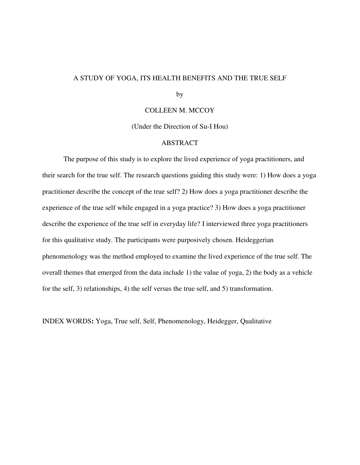## A STUDY OF YOGA, ITS HEALTH BENEFITS AND THE TRUE SELF

by

## COLLEEN M. MCCOY

(Under the Direction of Su-I Hou)

## ABSTRACT

 The purpose of this study is to explore the lived experience of yoga practitioners, and their search for the true self. The research questions guiding this study were: 1) How does a yoga practitioner describe the concept of the true self? 2) How does a yoga practitioner describe the experience of the true self while engaged in a yoga practice? 3) How does a yoga practitioner describe the experience of the true self in everyday life? I interviewed three yoga practitioners for this qualitative study. The participants were purposively chosen. Heideggerian phenomenology was the method employed to examine the lived experience of the true self. The overall themes that emerged from the data include 1) the value of yoga, 2) the body as a vehicle for the self, 3) relationships, 4) the self versus the true self, and 5) transformation.

INDEX WORDS**:** Yoga, True self, Self, Phenomenology, Heidegger, Qualitative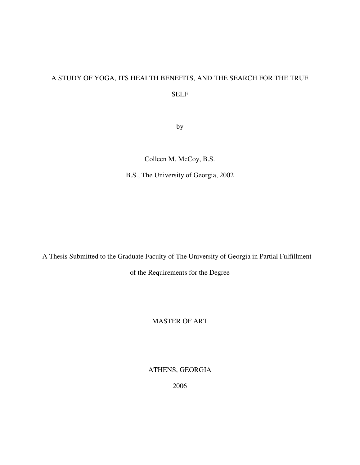# A STUDY OF YOGA, ITS HEALTH BENEFITS, AND THE SEARCH FOR THE TRUE

SELF

by

Colleen M. McCoy, B.S.

B.S., The University of Georgia, 2002

A Thesis Submitted to the Graduate Faculty of The University of Georgia in Partial Fulfillment

of the Requirements for the Degree

MASTER OF ART

ATHENS, GEORGIA

2006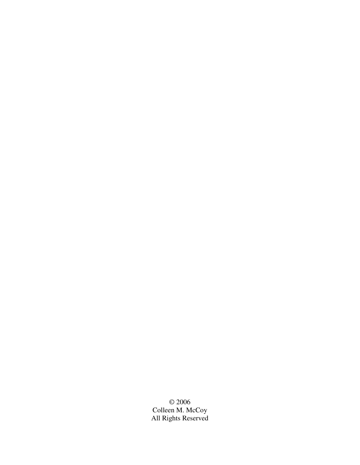© 2006 Colleen M. McCoy All Rights Reserved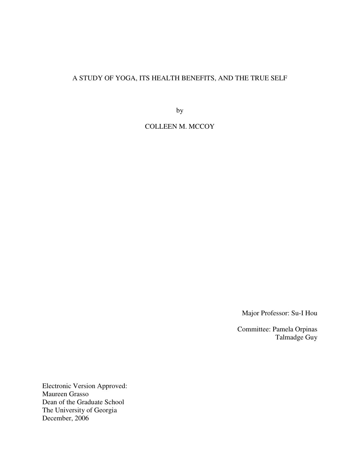## A STUDY OF YOGA, ITS HEALTH BENEFITS, AND THE TRUE SELF

by

COLLEEN M. MCCOY

Major Professor: Su-I Hou

Committee: Pamela Orpinas Talmadge Guy

Electronic Version Approved: Maureen Grasso Dean of the Graduate School The University of Georgia December, 2006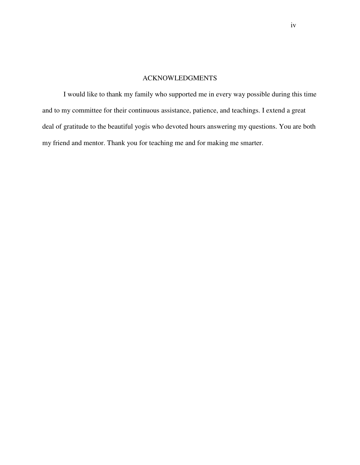## ACKNOWLEDGMENTS

I would like to thank my family who supported me in every way possible during this time and to my committee for their continuous assistance, patience, and teachings. I extend a great deal of gratitude to the beautiful yogis who devoted hours answering my questions. You are both my friend and mentor. Thank you for teaching me and for making me smarter.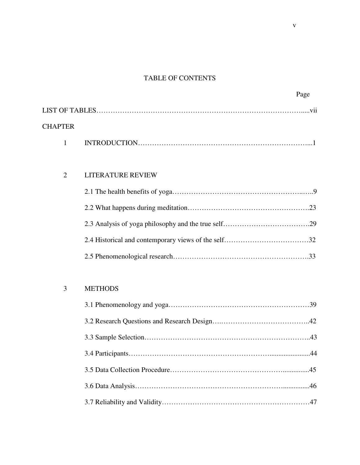# TABLE OF CONTENTS

|                | Page |
|----------------|------|
|                |      |
| <b>CHAPTER</b> |      |
|                |      |

# 2 LITERATURE REVIEW

# 3 METHODS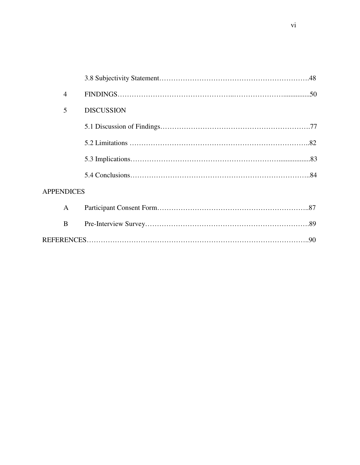| $\overline{4}$    |                   |
|-------------------|-------------------|
| 5                 | <b>DISCUSSION</b> |
|                   |                   |
|                   |                   |
|                   |                   |
|                   |                   |
| <b>APPENDICES</b> |                   |
| $\mathbf{A}$      |                   |
| B                 |                   |
|                   |                   |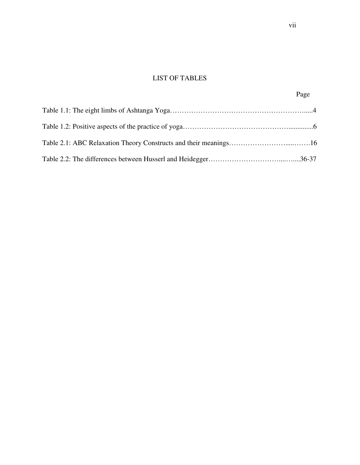# LIST OF TABLES

Page **Page**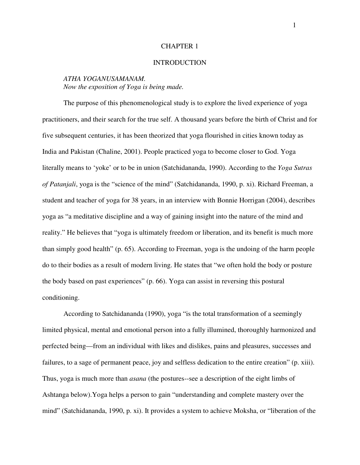## CHAPTER 1

#### **INTRODUCTION**

## *ATHA YOGANUSAMANAM. Now the exposition of Yoga is being made.*

The purpose of this phenomenological study is to explore the lived experience of yoga practitioners, and their search for the true self. A thousand years before the birth of Christ and for five subsequent centuries, it has been theorized that yoga flourished in cities known today as India and Pakistan (Chaline, 2001). People practiced yoga to become closer to God. Yoga literally means to 'yoke' or to be in union (Satchidananda, 1990). According to the *Yoga Sutras of Patanjali*, yoga is the "science of the mind" (Satchidananda, 1990, p. xi). Richard Freeman, a student and teacher of yoga for 38 years, in an interview with Bonnie Horrigan (2004), describes yoga as "a meditative discipline and a way of gaining insight into the nature of the mind and reality." He believes that "yoga is ultimately freedom or liberation, and its benefit is much more than simply good health" (p. 65). According to Freeman, yoga is the undoing of the harm people do to their bodies as a result of modern living. He states that "we often hold the body or posture the body based on past experiences" (p. 66). Yoga can assist in reversing this postural conditioning.

According to Satchidananda (1990), yoga "is the total transformation of a seemingly limited physical, mental and emotional person into a fully illumined, thoroughly harmonized and perfected being—from an individual with likes and dislikes, pains and pleasures, successes and failures, to a sage of permanent peace, joy and selfless dedication to the entire creation" (p. xiii). Thus, yoga is much more than *asana* (the postures--see a description of the eight limbs of Ashtanga below).Yoga helps a person to gain "understanding and complete mastery over the mind" (Satchidananda, 1990, p. xi). It provides a system to achieve Moksha, or "liberation of the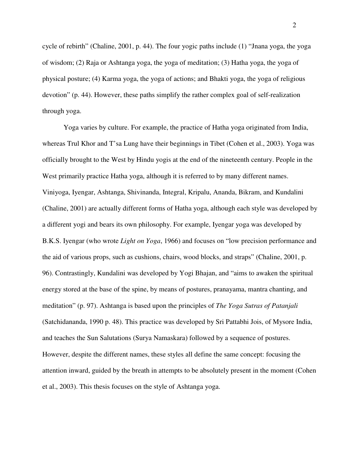cycle of rebirth" (Chaline, 2001, p. 44). The four yogic paths include (1) "Jnana yoga, the yoga of wisdom; (2) Raja or Ashtanga yoga, the yoga of meditation; (3) Hatha yoga, the yoga of physical posture; (4) Karma yoga, the yoga of actions; and Bhakti yoga, the yoga of religious devotion" (p. 44). However, these paths simplify the rather complex goal of self-realization through yoga.

Yoga varies by culture. For example, the practice of Hatha yoga originated from India, whereas Trul Khor and T'sa Lung have their beginnings in Tibet (Cohen et al., 2003). Yoga was officially brought to the West by Hindu yogis at the end of the nineteenth century. People in the West primarily practice Hatha yoga, although it is referred to by many different names. Viniyoga, Iyengar, Ashtanga, Shivinanda, Integral, Kripalu, Ananda, Bikram, and Kundalini (Chaline, 2001) are actually different forms of Hatha yoga, although each style was developed by a different yogi and bears its own philosophy. For example, Iyengar yoga was developed by B.K.S. Iyengar (who wrote *Light on Yoga*, 1966) and focuses on "low precision performance and the aid of various props, such as cushions, chairs, wood blocks, and straps" (Chaline, 2001, p. 96). Contrastingly, Kundalini was developed by Yogi Bhajan, and "aims to awaken the spiritual energy stored at the base of the spine, by means of postures, pranayama, mantra chanting, and meditation" (p. 97). Ashtanga is based upon the principles of *The Yoga Sutras of Patanjali* (Satchidananda, 1990 p. 48). This practice was developed by Sri Pattabhi Jois, of Mysore India, and teaches the Sun Salutations (Surya Namaskara) followed by a sequence of postures. However, despite the different names, these styles all define the same concept: focusing the attention inward, guided by the breath in attempts to be absolutely present in the moment (Cohen et al., 2003). This thesis focuses on the style of Ashtanga yoga.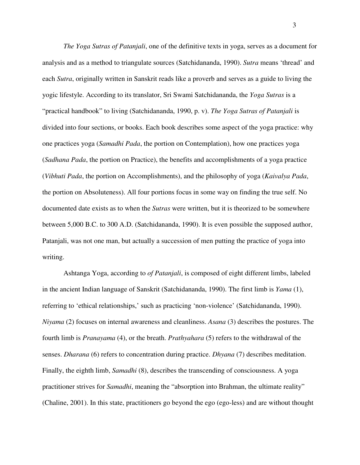*The Yoga Sutras of Patanjali*, one of the definitive texts in yoga, serves as a document for analysis and as a method to triangulate sources (Satchidananda, 1990). *Sutra* means 'thread' and each *Sutra*, originally written in Sanskrit reads like a proverb and serves as a guide to living the yogic lifestyle. According to its translator, Sri Swami Satchidananda, the *Yoga Sutras* is a "practical handbook" to living (Satchidananda, 1990, p. v). *The Yoga Sutras of Patanjali* is divided into four sections, or books. Each book describes some aspect of the yoga practice: why one practices yoga (*Samadhi Pada*, the portion on Contemplation), how one practices yoga (*Sadhana Pada*, the portion on Practice), the benefits and accomplishments of a yoga practice (*Vibhuti Pada*, the portion on Accomplishments), and the philosophy of yoga (*Kaivalya Pada*, the portion on Absoluteness). All four portions focus in some way on finding the true self. No documented date exists as to when the *Sutras* were written, but it is theorized to be somewhere between 5,000 B.C. to 300 A.D. (Satchidananda, 1990). It is even possible the supposed author, Patanjali, was not one man, but actually a succession of men putting the practice of yoga into writing.

Ashtanga Yoga, according to *of Patanjali*, is composed of eight different limbs, labeled in the ancient Indian language of Sanskrit (Satchidananda, 1990). The first limb is *Yama* (1), referring to 'ethical relationships,' such as practicing 'non-violence' (Satchidananda, 1990). *Niyama* (2) focuses on internal awareness and cleanliness. *Asana* (3) describes the postures. The fourth limb is *Pranayama* (4), or the breath. *Prathyahara* (5) refers to the withdrawal of the senses. *Dharana* (6) refers to concentration during practice. *Dhyana* (7) describes meditation. Finally, the eighth limb, *Samadhi* (8), describes the transcending of consciousness. A yoga practitioner strives for *Samadhi*, meaning the "absorption into Brahman, the ultimate reality" (Chaline, 2001). In this state, practitioners go beyond the ego (ego-less) and are without thought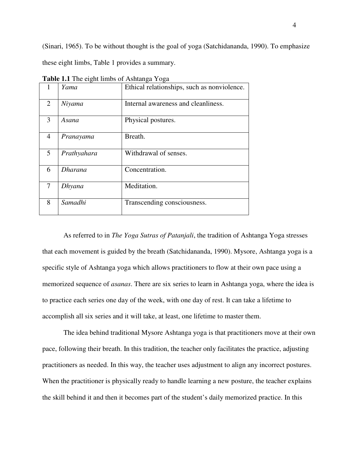(Sinari, 1965). To be without thought is the goal of yoga (Satchidananda, 1990). To emphasize these eight limbs, Table 1 provides a summary.

|                | <b>TWORK THE THE UIGHT HIMPS OF TROITING TO GU</b> |                                             |
|----------------|----------------------------------------------------|---------------------------------------------|
|                | Yama                                               | Ethical relationships, such as nonviolence. |
| $\overline{2}$ | Niyama                                             | Internal awareness and cleanliness.         |
| $\overline{3}$ | Asana                                              | Physical postures.                          |
| 4              | Pranayama                                          | Breath.                                     |
| 5 <sup>5</sup> | Prathyahara                                        | Withdrawal of senses.                       |
| 6              | <b>Dharana</b>                                     | Concentration.                              |
| 7              | Dhyana                                             | Meditation.                                 |
| 8              | Samadhi                                            | Transcending consciousness.                 |

**Table 1.1** The eight limbs of Ashtanga Yoga

As referred to in *The Yoga Sutras of Patanjali*, the tradition of Ashtanga Yoga stresses that each movement is guided by the breath (Satchidananda, 1990). Mysore, Ashtanga yoga is a specific style of Ashtanga yoga which allows practitioners to flow at their own pace using a memorized sequence of *asanas*. There are six series to learn in Ashtanga yoga, where the idea is to practice each series one day of the week, with one day of rest. It can take a lifetime to accomplish all six series and it will take, at least, one lifetime to master them.

The idea behind traditional Mysore Ashtanga yoga is that practitioners move at their own pace, following their breath. In this tradition, the teacher only facilitates the practice, adjusting practitioners as needed. In this way, the teacher uses adjustment to align any incorrect postures. When the practitioner is physically ready to handle learning a new posture, the teacher explains the skill behind it and then it becomes part of the student's daily memorized practice. In this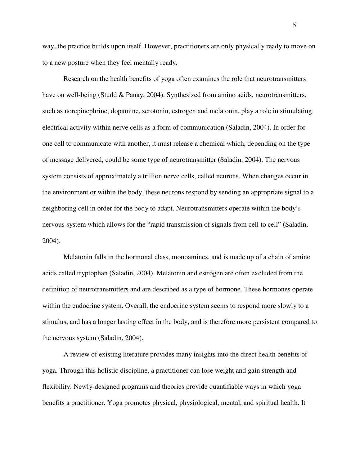way, the practice builds upon itself. However, practitioners are only physically ready to move on to a new posture when they feel mentally ready.

Research on the health benefits of yoga often examines the role that neurotransmitters have on well-being (Studd & Panay, 2004). Synthesized from amino acids, neurotransmitters, such as norepinephrine, dopamine, serotonin, estrogen and melatonin, play a role in stimulating electrical activity within nerve cells as a form of communication (Saladin, 2004). In order for one cell to communicate with another, it must release a chemical which, depending on the type of message delivered, could be some type of neurotransmitter (Saladin, 2004). The nervous system consists of approximately a trillion nerve cells, called neurons. When changes occur in the environment or within the body, these neurons respond by sending an appropriate signal to a neighboring cell in order for the body to adapt. Neurotransmitters operate within the body's nervous system which allows for the "rapid transmission of signals from cell to cell" (Saladin, 2004).

Melatonin falls in the hormonal class, monoamines, and is made up of a chain of amino acids called tryptophan (Saladin, 2004). Melatonin and estrogen are often excluded from the definition of neurotransmitters and are described as a type of hormone. These hormones operate within the endocrine system. Overall, the endocrine system seems to respond more slowly to a stimulus, and has a longer lasting effect in the body, and is therefore more persistent compared to the nervous system (Saladin, 2004).

A review of existing literature provides many insights into the direct health benefits of yoga. Through this holistic discipline, a practitioner can lose weight and gain strength and flexibility. Newly-designed programs and theories provide quantifiable ways in which yoga benefits a practitioner. Yoga promotes physical, physiological, mental, and spiritual health. It

5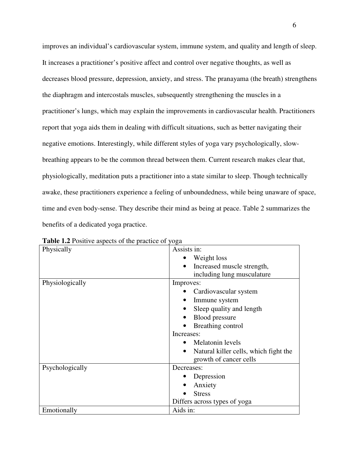improves an individual's cardiovascular system, immune system, and quality and length of sleep. It increases a practitioner's positive affect and control over negative thoughts, as well as decreases blood pressure, depression, anxiety, and stress. The pranayama (the breath) strengthens the diaphragm and intercostals muscles, subsequently strengthening the muscles in a practitioner's lungs, which may explain the improvements in cardiovascular health. Practitioners report that yoga aids them in dealing with difficult situations, such as better navigating their negative emotions. Interestingly, while different styles of yoga vary psychologically, slowbreathing appears to be the common thread between them. Current research makes clear that, physiologically, meditation puts a practitioner into a state similar to sleep. Though technically awake, these practitioners experience a feeling of unboundedness, while being unaware of space, time and even body-sense. They describe their mind as being at peace. Table 2 summarizes the benefits of a dedicated yoga practice.

| Physically      | Assists in:                                        |
|-----------------|----------------------------------------------------|
|                 | Weight loss                                        |
|                 | Increased muscle strength,<br>$\bullet$            |
|                 | including lung musculature                         |
| Physiologically | Improves:                                          |
|                 | Cardiovascular system                              |
|                 | Immune system                                      |
|                 | Sleep quality and length                           |
|                 | Blood pressure                                     |
|                 | Breathing control                                  |
|                 | Increases:                                         |
|                 | Melatonin levels                                   |
|                 | Natural killer cells, which fight the<br>$\bullet$ |
|                 | growth of cancer cells                             |
| Psychologically | Decreases:                                         |
|                 | Depression                                         |
|                 | Anxiety                                            |
|                 | <b>Stress</b>                                      |
|                 | Differs across types of yoga                       |
| Emotionally     | Aids in:                                           |

**Table 1.2** Positive aspects of the practice of yoga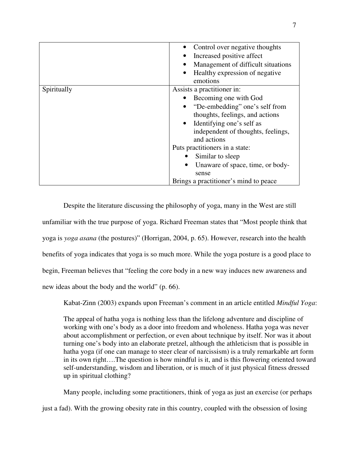|             | Control over negative thoughts<br>Increased positive affect<br>Management of difficult situations<br>Healthy expression of negative<br>$\bullet$<br>emotions                                                                                                                                                                      |
|-------------|-----------------------------------------------------------------------------------------------------------------------------------------------------------------------------------------------------------------------------------------------------------------------------------------------------------------------------------|
| Spiritually | Assists a practitioner in:<br>Becoming one with God<br>"De-embedding" one's self from<br>$\bullet$<br>thoughts, feelings, and actions<br>• Identifying one's self as<br>independent of thoughts, feelings,<br>and actions<br>Puts practitioners in a state:<br>Similar to sleep<br>Unaware of space, time, or body-<br>٠<br>sense |
|             | Brings a practitioner's mind to peace                                                                                                                                                                                                                                                                                             |

Despite the literature discussing the philosophy of yoga, many in the West are still unfamiliar with the true purpose of yoga. Richard Freeman states that "Most people think that yoga is *yoga asana* (the postures)" (Horrigan, 2004, p. 65). However, research into the health benefits of yoga indicates that yoga is so much more. While the yoga posture is a good place to begin, Freeman believes that "feeling the core body in a new way induces new awareness and new ideas about the body and the world" (p. 66).

Kabat-Zinn (2003) expands upon Freeman's comment in an article entitled *Mindful Yoga*:

The appeal of hatha yoga is nothing less than the lifelong adventure and discipline of working with one's body as a door into freedom and wholeness. Hatha yoga was never about accomplishment or perfection, or even about technique by itself. Nor was it about turning one's body into an elaborate pretzel, although the athleticism that is possible in hatha yoga (if one can manage to steer clear of narcissism) is a truly remarkable art form in its own right….The question is how mindful is it, and is this flowering oriented toward self-understanding, wisdom and liberation, or is much of it just physical fitness dressed up in spiritual clothing?

Many people, including some practitioners, think of yoga as just an exercise (or perhaps just a fad). With the growing obesity rate in this country, coupled with the obsession of losing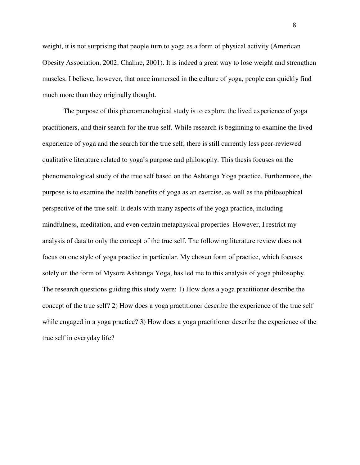weight, it is not surprising that people turn to yoga as a form of physical activity (American Obesity Association, 2002; Chaline, 2001). It is indeed a great way to lose weight and strengthen muscles. I believe, however, that once immersed in the culture of yoga, people can quickly find much more than they originally thought.

The purpose of this phenomenological study is to explore the lived experience of yoga practitioners, and their search for the true self. While research is beginning to examine the lived experience of yoga and the search for the true self, there is still currently less peer-reviewed qualitative literature related to yoga's purpose and philosophy. This thesis focuses on the phenomenological study of the true self based on the Ashtanga Yoga practice. Furthermore, the purpose is to examine the health benefits of yoga as an exercise, as well as the philosophical perspective of the true self. It deals with many aspects of the yoga practice, including mindfulness, meditation, and even certain metaphysical properties. However, I restrict my analysis of data to only the concept of the true self. The following literature review does not focus on one style of yoga practice in particular. My chosen form of practice, which focuses solely on the form of Mysore Ashtanga Yoga, has led me to this analysis of yoga philosophy. The research questions guiding this study were: 1) How does a yoga practitioner describe the concept of the true self? 2) How does a yoga practitioner describe the experience of the true self while engaged in a yoga practice? 3) How does a yoga practitioner describe the experience of the true self in everyday life?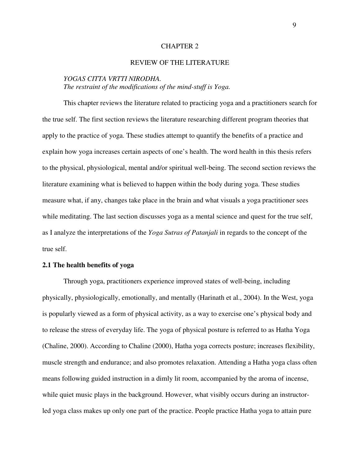## CHAPTER 2

## REVIEW OF THE LITERATURE

## *YOGAS CITTA VRTTI NIRODHA. The restraint of the modifications of the mind-stuff is Yoga.*

This chapter reviews the literature related to practicing yoga and a practitioners search for the true self. The first section reviews the literature researching different program theories that apply to the practice of yoga. These studies attempt to quantify the benefits of a practice and explain how yoga increases certain aspects of one's health. The word health in this thesis refers to the physical, physiological, mental and/or spiritual well-being. The second section reviews the literature examining what is believed to happen within the body during yoga. These studies measure what, if any, changes take place in the brain and what visuals a yoga practitioner sees while meditating. The last section discusses yoga as a mental science and quest for the true self, as I analyze the interpretations of the *Yoga Sutras of Patanjali* in regards to the concept of the true self.

## **2.1 The health benefits of yoga**

Through yoga, practitioners experience improved states of well-being, including physically, physiologically, emotionally, and mentally (Harinath et al., 2004). In the West, yoga is popularly viewed as a form of physical activity, as a way to exercise one's physical body and to release the stress of everyday life. The yoga of physical posture is referred to as Hatha Yoga (Chaline, 2000). According to Chaline (2000), Hatha yoga corrects posture; increases flexibility, muscle strength and endurance; and also promotes relaxation. Attending a Hatha yoga class often means following guided instruction in a dimly lit room, accompanied by the aroma of incense, while quiet music plays in the background. However, what visibly occurs during an instructorled yoga class makes up only one part of the practice. People practice Hatha yoga to attain pure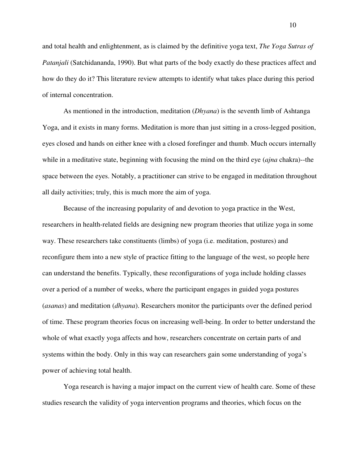and total health and enlightenment, as is claimed by the definitive yoga text, *The Yoga Sutras of Patanjali* (Satchidananda, 1990). But what parts of the body exactly do these practices affect and how do they do it? This literature review attempts to identify what takes place during this period of internal concentration.

As mentioned in the introduction, meditation (*Dhyana*) is the seventh limb of Ashtanga Yoga, and it exists in many forms. Meditation is more than just sitting in a cross-legged position, eyes closed and hands on either knee with a closed forefinger and thumb. Much occurs internally while in a meditative state, beginning with focusing the mind on the third eye (*ajna* chakra)--the space between the eyes. Notably, a practitioner can strive to be engaged in meditation throughout all daily activities; truly, this is much more the aim of yoga.

 Because of the increasing popularity of and devotion to yoga practice in the West, researchers in health-related fields are designing new program theories that utilize yoga in some way. These researchers take constituents (limbs) of yoga (i.e. meditation, postures) and reconfigure them into a new style of practice fitting to the language of the west, so people here can understand the benefits. Typically, these reconfigurations of yoga include holding classes over a period of a number of weeks, where the participant engages in guided yoga postures (*asanas*) and meditation (*dhyana*). Researchers monitor the participants over the defined period of time. These program theories focus on increasing well-being. In order to better understand the whole of what exactly yoga affects and how, researchers concentrate on certain parts of and systems within the body. Only in this way can researchers gain some understanding of yoga's power of achieving total health.

Yoga research is having a major impact on the current view of health care. Some of these studies research the validity of yoga intervention programs and theories, which focus on the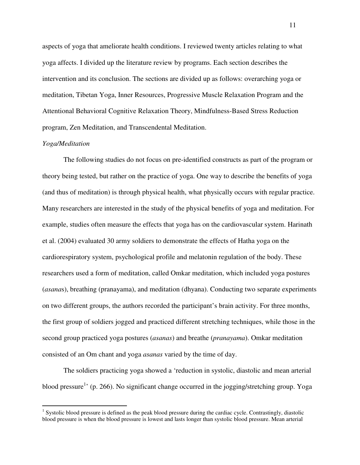aspects of yoga that ameliorate health conditions. I reviewed twenty articles relating to what yoga affects. I divided up the literature review by programs. Each section describes the intervention and its conclusion. The sections are divided up as follows: overarching yoga or meditation, Tibetan Yoga, Inner Resources, Progressive Muscle Relaxation Program and the Attentional Behavioral Cognitive Relaxation Theory, Mindfulness-Based Stress Reduction program, Zen Meditation, and Transcendental Meditation.

#### *Yoga/Meditation*

 $\overline{a}$ 

The following studies do not focus on pre-identified constructs as part of the program or theory being tested, but rather on the practice of yoga. One way to describe the benefits of yoga (and thus of meditation) is through physical health, what physically occurs with regular practice. Many researchers are interested in the study of the physical benefits of yoga and meditation. For example, studies often measure the effects that yoga has on the cardiovascular system. Harinath et al. (2004) evaluated 30 army soldiers to demonstrate the effects of Hatha yoga on the cardiorespiratory system, psychological profile and melatonin regulation of the body. These researchers used a form of meditation, called Omkar meditation, which included yoga postures (*asana*s), breathing (pranayama), and meditation (dhyana). Conducting two separate experiments on two different groups, the authors recorded the participant's brain activity. For three months, the first group of soldiers jogged and practiced different stretching techniques, while those in the second group practiced yoga postures (*asanas*) and breathe (*pranayama*). Omkar meditation consisted of an Om chant and yoga *asanas* varied by the time of day.

The soldiers practicing yoga showed a 'reduction in systolic, diastolic and mean arterial blood pressure<sup>1</sup> (p. 266). No significant change occurred in the jogging/stretching group. Yoga

<sup>&</sup>lt;sup>1</sup> Systolic blood pressure is defined as the peak blood pressure during the cardiac cycle. Contrastingly, diastolic blood pressure is when the blood pressure is lowest and lasts longer than systolic blood pressure. Mean arterial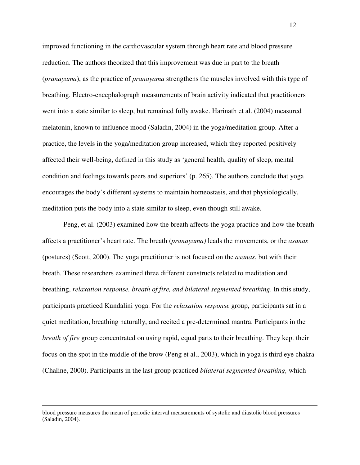improved functioning in the cardiovascular system through heart rate and blood pressure reduction. The authors theorized that this improvement was due in part to the breath (*pranayama*), as the practice of *pranayama* strengthens the muscles involved with this type of breathing. Electro-encephalograph measurements of brain activity indicated that practitioners went into a state similar to sleep, but remained fully awake. Harinath et al. (2004) measured melatonin, known to influence mood (Saladin, 2004) in the yoga/meditation group. After a practice, the levels in the yoga/meditation group increased, which they reported positively affected their well-being, defined in this study as 'general health, quality of sleep, mental condition and feelings towards peers and superiors' (p. 265). The authors conclude that yoga encourages the body's different systems to maintain homeostasis, and that physiologically, meditation puts the body into a state similar to sleep, even though still awake.

Peng, et al. (2003) examined how the breath affects the yoga practice and how the breath affects a practitioner's heart rate. The breath (*pranayama)* leads the movements, or the *asanas* (postures) (Scott, 2000). The yoga practitioner is not focused on the *asanas*, but with their breath. These researchers examined three different constructs related to meditation and breathing, *relaxation response, breath of fire, and bilateral segmented breathing*. In this study, participants practiced Kundalini yoga. For the *relaxation response* group, participants sat in a quiet meditation, breathing naturally, and recited a pre-determined mantra. Participants in the *breath of fire* group concentrated on using rapid, equal parts to their breathing. They kept their focus on the spot in the middle of the brow (Peng et al., 2003), which in yoga is third eye chakra (Chaline, 2000). Participants in the last group practiced *bilateral segmented breathing,* which

 $\overline{a}$ 

blood pressure measures the mean of periodic interval measurements of systolic and diastolic blood pressures (Saladin, 2004).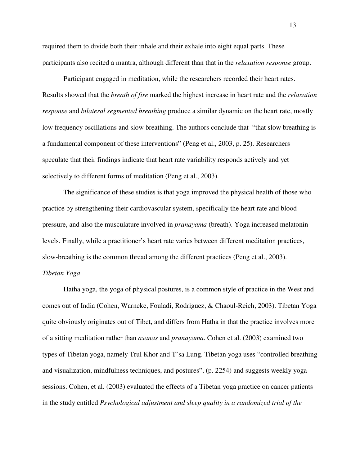required them to divide both their inhale and their exhale into eight equal parts. These participants also recited a mantra, although different than that in the *relaxation response* group.

Participant engaged in meditation, while the researchers recorded their heart rates. Results showed that the *breath of fire* marked the highest increase in heart rate and the *relaxation response* and *bilateral segmented breathing* produce a similar dynamic on the heart rate, mostly low frequency oscillations and slow breathing. The authors conclude that "that slow breathing is a fundamental component of these interventions" (Peng et al., 2003, p. 25). Researchers speculate that their findings indicate that heart rate variability responds actively and yet selectively to different forms of meditation (Peng et al., 2003).

The significance of these studies is that yoga improved the physical health of those who practice by strengthening their cardiovascular system, specifically the heart rate and blood pressure, and also the musculature involved in *pranayama* (breath). Yoga increased melatonin levels. Finally, while a practitioner's heart rate varies between different meditation practices, slow-breathing is the common thread among the different practices (Peng et al., 2003).

## *Tibetan Yoga*

Hatha yoga, the yoga of physical postures, is a common style of practice in the West and comes out of India (Cohen, Warneke, Fouladi, Rodriguez, & Chaoul-Reich, 2003). Tibetan Yoga quite obviously originates out of Tibet, and differs from Hatha in that the practice involves more of a sitting meditation rather than *asanas* and *pranayama*. Cohen et al. (2003) examined two types of Tibetan yoga, namely Trul Khor and T'sa Lung. Tibetan yoga uses "controlled breathing and visualization, mindfulness techniques, and postures", (p. 2254) and suggests weekly yoga sessions. Cohen, et al. (2003) evaluated the effects of a Tibetan yoga practice on cancer patients in the study entitled *Psychological adjustment and sleep quality in a randomized trial of the*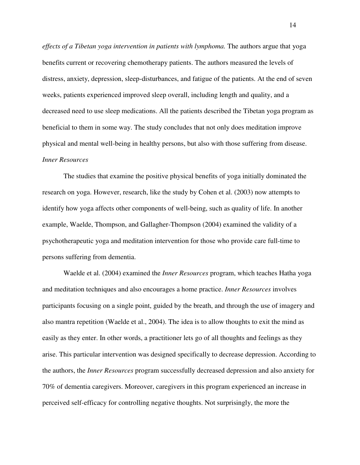*effects of a Tibetan yoga intervention in patients with lymphoma.* The authors argue that yoga benefits current or recovering chemotherapy patients. The authors measured the levels of distress, anxiety, depression, sleep-disturbances, and fatigue of the patients. At the end of seven weeks, patients experienced improved sleep overall, including length and quality, and a decreased need to use sleep medications. All the patients described the Tibetan yoga program as beneficial to them in some way. The study concludes that not only does meditation improve physical and mental well-being in healthy persons, but also with those suffering from disease. *Inner Resources* 

The studies that examine the positive physical benefits of yoga initially dominated the research on yoga. However, research, like the study by Cohen et al. (2003) now attempts to identify how yoga affects other components of well-being, such as quality of life. In another example, Waelde, Thompson, and Gallagher-Thompson (2004) examined the validity of a psychotherapeutic yoga and meditation intervention for those who provide care full-time to persons suffering from dementia.

Waelde et al. (2004) examined the *Inner Resources* program, which teaches Hatha yoga and meditation techniques and also encourages a home practice. *Inner Resources* involves participants focusing on a single point, guided by the breath, and through the use of imagery and also mantra repetition (Waelde et al., 2004). The idea is to allow thoughts to exit the mind as easily as they enter. In other words, a practitioner lets go of all thoughts and feelings as they arise. This particular intervention was designed specifically to decrease depression. According to the authors, the *Inner Resources* program successfully decreased depression and also anxiety for 70% of dementia caregivers. Moreover, caregivers in this program experienced an increase in perceived self-efficacy for controlling negative thoughts. Not surprisingly, the more the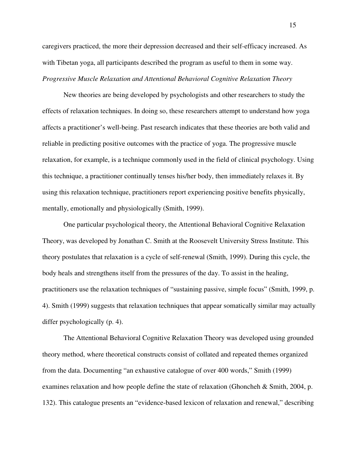caregivers practiced, the more their depression decreased and their self-efficacy increased. As with Tibetan yoga, all participants described the program as useful to them in some way. *Progressive Muscle Relaxation and Attentional Behavioral Cognitive Relaxation Theory* 

 New theories are being developed by psychologists and other researchers to study the effects of relaxation techniques. In doing so, these researchers attempt to understand how yoga affects a practitioner's well-being. Past research indicates that these theories are both valid and reliable in predicting positive outcomes with the practice of yoga. The progressive muscle relaxation, for example, is a technique commonly used in the field of clinical psychology. Using this technique, a practitioner continually tenses his/her body, then immediately relaxes it. By using this relaxation technique, practitioners report experiencing positive benefits physically, mentally, emotionally and physiologically (Smith, 1999).

One particular psychological theory, the Attentional Behavioral Cognitive Relaxation Theory, was developed by Jonathan C. Smith at the Roosevelt University Stress Institute. This theory postulates that relaxation is a cycle of self-renewal (Smith, 1999). During this cycle, the body heals and strengthens itself from the pressures of the day. To assist in the healing, practitioners use the relaxation techniques of "sustaining passive, simple focus" (Smith, 1999, p. 4). Smith (1999) suggests that relaxation techniques that appear somatically similar may actually differ psychologically (p. 4).

The Attentional Behavioral Cognitive Relaxation Theory was developed using grounded theory method, where theoretical constructs consist of collated and repeated themes organized from the data. Documenting "an exhaustive catalogue of over 400 words," Smith (1999) examines relaxation and how people define the state of relaxation (Ghoncheh & Smith, 2004, p. 132). This catalogue presents an "evidence-based lexicon of relaxation and renewal," describing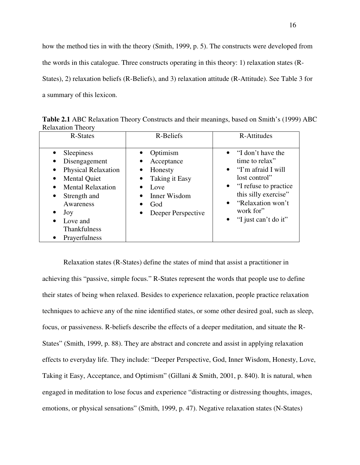how the method ties in with the theory (Smith, 1999, p. 5). The constructs were developed from the words in this catalogue. Three constructs operating in this theory: 1) relaxation states (R-States), 2) relaxation beliefs (R-Beliefs), and 3) relaxation attitude (R-Attitude). See Table 3 for a summary of this lexicon.

R-States R-Beliefs R-Attitudes • Sleepiness • Disengagement • Physical Relaxation • Mental Quiet • Mental Relaxation Strength and Awareness • Joy Love and Thankfulness • Prayerfulness • Optimism **Acceptance** • Honesty • Taking it Easy • Love • Inner Wisdom • God • Deeper Perspective • "I don't have the time to relax" • "I'm afraid I will lost control" • "I refuse to practice" this silly exercise" • "Relaxation won't work for" "I just can't do it"

**Table 2.1** ABC Relaxation Theory Constructs and their meanings, based on Smith's (1999) ABC Relaxation Theory

Relaxation states (R-States) define the states of mind that assist a practitioner in achieving this "passive, simple focus." R-States represent the words that people use to define their states of being when relaxed. Besides to experience relaxation, people practice relaxation techniques to achieve any of the nine identified states, or some other desired goal, such as sleep, focus, or passiveness. R-beliefs describe the effects of a deeper meditation, and situate the R-States" (Smith, 1999, p. 88). They are abstract and concrete and assist in applying relaxation effects to everyday life. They include: "Deeper Perspective, God, Inner Wisdom, Honesty, Love, Taking it Easy, Acceptance, and Optimism" (Gillani & Smith, 2001, p. 840). It is natural, when engaged in meditation to lose focus and experience "distracting or distressing thoughts, images, emotions, or physical sensations" (Smith, 1999, p. 47). Negative relaxation states (N-States)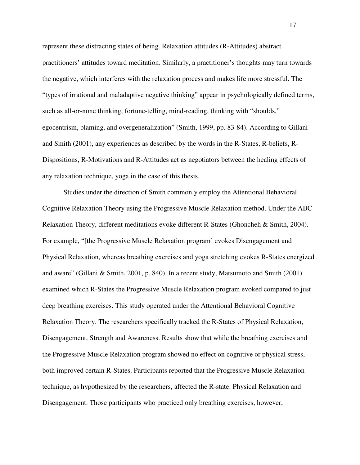represent these distracting states of being. Relaxation attitudes (R-Attitudes) abstract practitioners' attitudes toward meditation. Similarly, a practitioner's thoughts may turn towards the negative, which interferes with the relaxation process and makes life more stressful. The "types of irrational and maladaptive negative thinking" appear in psychologically defined terms, such as all-or-none thinking, fortune-telling, mind-reading, thinking with "shoulds," egocentrism, blaming, and overgeneralization" (Smith, 1999, pp. 83-84). According to Gillani and Smith (2001), any experiences as described by the words in the R-States, R-beliefs, R-Dispositions, R-Motivations and R-Attitudes act as negotiators between the healing effects of any relaxation technique, yoga in the case of this thesis.

Studies under the direction of Smith commonly employ the Attentional Behavioral Cognitive Relaxation Theory using the Progressive Muscle Relaxation method. Under the ABC Relaxation Theory, different meditations evoke different R-States (Ghoncheh & Smith, 2004). For example, "[the Progressive Muscle Relaxation program] evokes Disengagement and Physical Relaxation, whereas breathing exercises and yoga stretching evokes R-States energized and aware" (Gillani & Smith, 2001, p. 840). In a recent study, Matsumoto and Smith (2001) examined which R-States the Progressive Muscle Relaxation program evoked compared to just deep breathing exercises. This study operated under the Attentional Behavioral Cognitive Relaxation Theory. The researchers specifically tracked the R-States of Physical Relaxation, Disengagement, Strength and Awareness. Results show that while the breathing exercises and the Progressive Muscle Relaxation program showed no effect on cognitive or physical stress, both improved certain R-States. Participants reported that the Progressive Muscle Relaxation technique, as hypothesized by the researchers, affected the R-state: Physical Relaxation and Disengagement. Those participants who practiced only breathing exercises, however,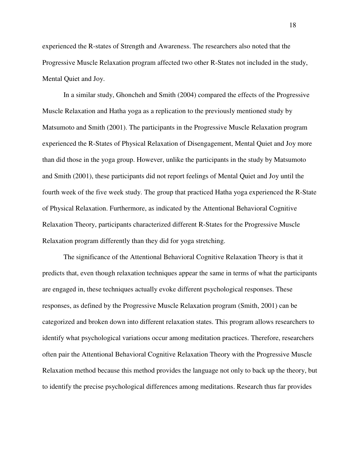experienced the R-states of Strength and Awareness. The researchers also noted that the Progressive Muscle Relaxation program affected two other R-States not included in the study, Mental Quiet and Joy.

In a similar study, Ghoncheh and Smith (2004) compared the effects of the Progressive Muscle Relaxation and Hatha yoga as a replication to the previously mentioned study by Matsumoto and Smith (2001). The participants in the Progressive Muscle Relaxation program experienced the R-States of Physical Relaxation of Disengagement, Mental Quiet and Joy more than did those in the yoga group. However, unlike the participants in the study by Matsumoto and Smith (2001), these participants did not report feelings of Mental Quiet and Joy until the fourth week of the five week study. The group that practiced Hatha yoga experienced the R-State of Physical Relaxation. Furthermore, as indicated by the Attentional Behavioral Cognitive Relaxation Theory, participants characterized different R-States for the Progressive Muscle Relaxation program differently than they did for yoga stretching.

The significance of the Attentional Behavioral Cognitive Relaxation Theory is that it predicts that, even though relaxation techniques appear the same in terms of what the participants are engaged in, these techniques actually evoke different psychological responses. These responses, as defined by the Progressive Muscle Relaxation program (Smith, 2001) can be categorized and broken down into different relaxation states. This program allows researchers to identify what psychological variations occur among meditation practices. Therefore, researchers often pair the Attentional Behavioral Cognitive Relaxation Theory with the Progressive Muscle Relaxation method because this method provides the language not only to back up the theory, but to identify the precise psychological differences among meditations. Research thus far provides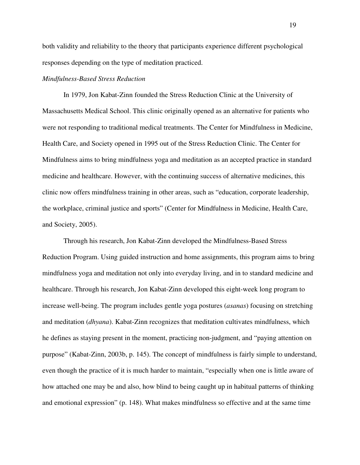both validity and reliability to the theory that participants experience different psychological responses depending on the type of meditation practiced.

## *Mindfulness-Based Stress Reduction*

In 1979, Jon Kabat-Zinn founded the Stress Reduction Clinic at the University of Massachusetts Medical School. This clinic originally opened as an alternative for patients who were not responding to traditional medical treatments. The Center for Mindfulness in Medicine, Health Care, and Society opened in 1995 out of the Stress Reduction Clinic. The Center for Mindfulness aims to bring mindfulness yoga and meditation as an accepted practice in standard medicine and healthcare. However, with the continuing success of alternative medicines, this clinic now offers mindfulness training in other areas, such as "education, corporate leadership, the workplace, criminal justice and sports" (Center for Mindfulness in Medicine, Health Care, and Society, 2005).

 Through his research, Jon Kabat-Zinn developed the Mindfulness-Based Stress Reduction Program. Using guided instruction and home assignments, this program aims to bring mindfulness yoga and meditation not only into everyday living, and in to standard medicine and healthcare. Through his research, Jon Kabat-Zinn developed this eight-week long program to increase well-being. The program includes gentle yoga postures (*asanas*) focusing on stretching and meditation (*dhyana*). Kabat-Zinn recognizes that meditation cultivates mindfulness, which he defines as staying present in the moment, practicing non-judgment, and "paying attention on purpose" (Kabat-Zinn, 2003b, p. 145). The concept of mindfulness is fairly simple to understand, even though the practice of it is much harder to maintain, "especially when one is little aware of how attached one may be and also, how blind to being caught up in habitual patterns of thinking and emotional expression" (p. 148). What makes mindfulness so effective and at the same time

19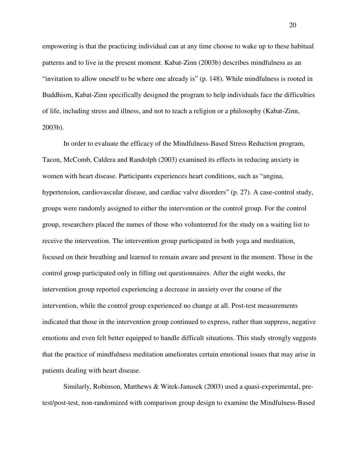empowering is that the practicing individual can at any time choose to wake up to these habitual patterns and to live in the present moment. Kabat-Zinn (2003b) describes mindfulness as an "invitation to allow oneself to be where one already is" (p. 148). While mindfulness is rooted in Buddhism, Kabat-Zinn specifically designed the program to help individuals face the difficulties of life, including stress and illness, and not to teach a religion or a philosophy (Kabat-Zinn, 2003b).

In order to evaluate the efficacy of the Mindfulness-Based Stress Reduction program, Tacon, McComb, Caldera and Randolph (2003) examined its effects in reducing anxiety in women with heart disease. Participants experiences heart conditions, such as "angina, hypertension, cardiovascular disease, and cardiac valve disorders" (p. 27). A case-control study, groups were randomly assigned to either the intervention or the control group. For the control group, researchers placed the names of those who volunteered for the study on a waiting list to receive the intervention. The intervention group participated in both yoga and meditation, focused on their breathing and learned to remain aware and present in the moment. Those in the control group participated only in filling out questionnaires. After the eight weeks, the intervention group reported experiencing a decrease in anxiety over the course of the intervention, while the control group experienced no change at all. Post-test measurements indicated that those in the intervention group continued to express, rather than suppress, negative emotions and even felt better equipped to handle difficult situations. This study strongly suggests that the practice of mindfulness meditation ameliorates certain emotional issues that may arise in patients dealing with heart disease.

Similarly, Robinson, Matthews & Witek-Janusek (2003) used a quasi-experimental, pretest/post-test, non-randomized with comparison group design to examine the Mindfulness-Based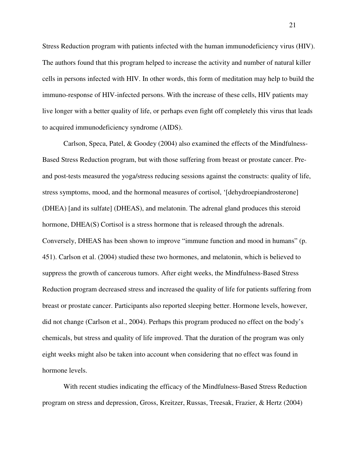Stress Reduction program with patients infected with the human immunodeficiency virus (HIV). The authors found that this program helped to increase the activity and number of natural killer cells in persons infected with HIV. In other words, this form of meditation may help to build the immuno-response of HIV-infected persons. With the increase of these cells, HIV patients may live longer with a better quality of life, or perhaps even fight off completely this virus that leads to acquired immunodeficiency syndrome (AIDS).

Carlson, Speca, Patel, & Goodey (2004) also examined the effects of the Mindfulness-Based Stress Reduction program, but with those suffering from breast or prostate cancer. Preand post-tests measured the yoga/stress reducing sessions against the constructs: quality of life, stress symptoms, mood, and the hormonal measures of cortisol, '[dehydroepiandrosterone] (DHEA) [and its sulfate] (DHEAS), and melatonin. The adrenal gland produces this steroid hormone, DHEA(S) Cortisol is a stress hormone that is released through the adrenals. Conversely, DHEAS has been shown to improve "immune function and mood in humans" (p. 451). Carlson et al. (2004) studied these two hormones, and melatonin, which is believed to suppress the growth of cancerous tumors. After eight weeks, the Mindfulness-Based Stress Reduction program decreased stress and increased the quality of life for patients suffering from breast or prostate cancer. Participants also reported sleeping better. Hormone levels, however, did not change (Carlson et al., 2004). Perhaps this program produced no effect on the body's chemicals, but stress and quality of life improved. That the duration of the program was only eight weeks might also be taken into account when considering that no effect was found in hormone levels.

With recent studies indicating the efficacy of the Mindfulness-Based Stress Reduction program on stress and depression, Gross, Kreitzer, Russas, Treesak, Frazier, & Hertz (2004)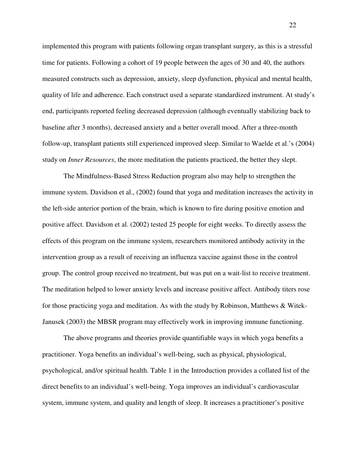implemented this program with patients following organ transplant surgery, as this is a stressful time for patients. Following a cohort of 19 people between the ages of 30 and 40, the authors measured constructs such as depression, anxiety, sleep dysfunction, physical and mental health, quality of life and adherence. Each construct used a separate standardized instrument. At study's end, participants reported feeling decreased depression (although eventually stabilizing back to baseline after 3 months), decreased anxiety and a better overall mood. After a three-month follow-up, transplant patients still experienced improved sleep. Similar to Waelde et al.'s (2004) study on *Inner Resources*, the more meditation the patients practiced, the better they slept.

The Mindfulness-Based Stress Reduction program also may help to strengthen the immune system. Davidson et al., (2002) found that yoga and meditation increases the activity in the left-side anterior portion of the brain, which is known to fire during positive emotion and positive affect. Davidson et al. (2002) tested 25 people for eight weeks. To directly assess the effects of this program on the immune system, researchers monitored antibody activity in the intervention group as a result of receiving an influenza vaccine against those in the control group. The control group received no treatment, but was put on a wait-list to receive treatment. The meditation helped to lower anxiety levels and increase positive affect. Antibody titers rose for those practicing yoga and meditation. As with the study by Robinson, Matthews & Witek-Janusek (2003) the MBSR program may effectively work in improving immune functioning.

The above programs and theories provide quantifiable ways in which yoga benefits a practitioner. Yoga benefits an individual's well-being, such as physical, physiological, psychological, and/or spiritual health. Table 1 in the Introduction provides a collated list of the direct benefits to an individual's well-being. Yoga improves an individual's cardiovascular system, immune system, and quality and length of sleep. It increases a practitioner's positive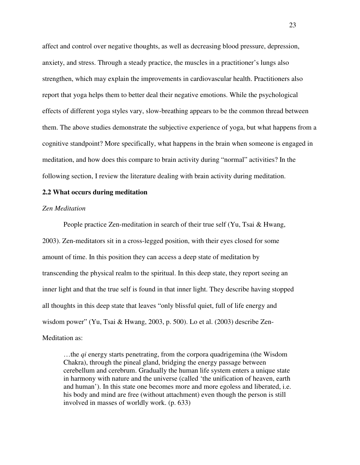affect and control over negative thoughts, as well as decreasing blood pressure, depression, anxiety, and stress. Through a steady practice, the muscles in a practitioner's lungs also strengthen, which may explain the improvements in cardiovascular health. Practitioners also report that yoga helps them to better deal their negative emotions. While the psychological effects of different yoga styles vary, slow-breathing appears to be the common thread between them. The above studies demonstrate the subjective experience of yoga, but what happens from a cognitive standpoint? More specifically, what happens in the brain when someone is engaged in meditation, and how does this compare to brain activity during "normal" activities? In the following section, I review the literature dealing with brain activity during meditation.

#### **2.2 What occurs during meditation**

#### *Zen Meditation*

People practice Zen-meditation in search of their true self (Yu, Tsai & Hwang, 2003). Zen-meditators sit in a cross-legged position, with their eyes closed for some amount of time. In this position they can access a deep state of meditation by transcending the physical realm to the spiritual. In this deep state, they report seeing an inner light and that the true self is found in that inner light. They describe having stopped all thoughts in this deep state that leaves "only blissful quiet, full of life energy and wisdom power" (Yu, Tsai & Hwang, 2003, p. 500). Lo et al. (2003) describe Zen-Meditation as:

…the *qi* energy starts penetrating, from the corpora quadrigemina (the Wisdom Chakra), through the pineal gland, bridging the energy passage between cerebellum and cerebrum. Gradually the human life system enters a unique state in harmony with nature and the universe (called 'the unification of heaven, earth and human'). In this state one becomes more and more egoless and liberated, i.e. his body and mind are free (without attachment) even though the person is still involved in masses of worldly work. (p. 633)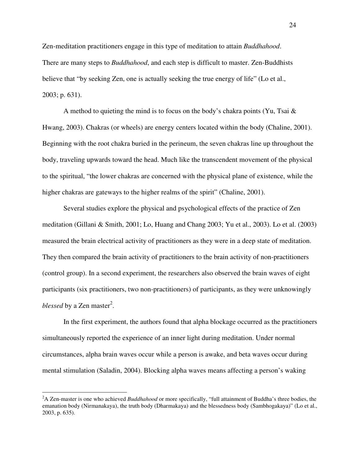Zen-meditation practitioners engage in this type of meditation to attain *Buddhahood*. There are many steps to *Buddhahood*, and each step is difficult to master. Zen-Buddhists believe that "by seeking Zen, one is actually seeking the true energy of life" (Lo et al., 2003; p. 631).

A method to quieting the mind is to focus on the body's chakra points (Yu, Tsai  $\&$ Hwang, 2003). Chakras (or wheels) are energy centers located within the body (Chaline, 2001). Beginning with the root chakra buried in the perineum, the seven chakras line up throughout the body, traveling upwards toward the head. Much like the transcendent movement of the physical to the spiritual, "the lower chakras are concerned with the physical plane of existence, while the higher chakras are gateways to the higher realms of the spirit" (Chaline, 2001).

Several studies explore the physical and psychological effects of the practice of Zen meditation (Gillani & Smith, 2001; Lo, Huang and Chang 2003; Yu et al., 2003). Lo et al. (2003) measured the brain electrical activity of practitioners as they were in a deep state of meditation. They then compared the brain activity of practitioners to the brain activity of non-practitioners (control group). In a second experiment, the researchers also observed the brain waves of eight participants (six practitioners, two non-practitioners) of participants, as they were unknowingly *blessed* by a Zen master<sup>2</sup>.

In the first experiment, the authors found that alpha blockage occurred as the practitioners simultaneously reported the experience of an inner light during meditation. Under normal circumstances, alpha brain waves occur while a person is awake, and beta waves occur during mental stimulation (Saladin, 2004). Blocking alpha waves means affecting a person's waking

 $\overline{a}$ 

<sup>2</sup>A Zen-master is one who achieved *Buddhahood* or more specifically, "full attainment of Buddha's three bodies, the emanation body (Nirmanakaya), the truth body (Dharmakaya) and the blessedness body (Sambhogakaya)" (Lo et al., 2003, p. 635).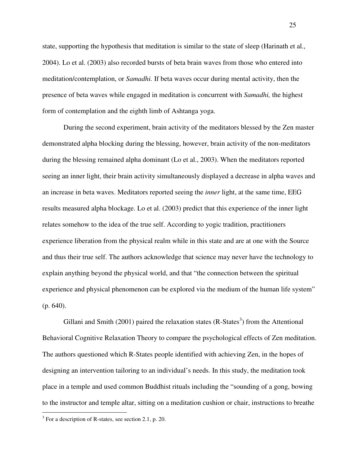state, supporting the hypothesis that meditation is similar to the state of sleep (Harinath et al., 2004). Lo et al. (2003) also recorded bursts of beta brain waves from those who entered into meditation/contemplation, or *Samadhi.* If beta waves occur during mental activity, then the presence of beta waves while engaged in meditation is concurrent with *Samadhi,* the highest form of contemplation and the eighth limb of Ashtanga yoga.

During the second experiment, brain activity of the meditators blessed by the Zen master demonstrated alpha blocking during the blessing, however, brain activity of the non-meditators during the blessing remained alpha dominant (Lo et al., 2003). When the meditators reported seeing an inner light, their brain activity simultaneously displayed a decrease in alpha waves and an increase in beta waves. Meditators reported seeing the *inner* light, at the same time, EEG results measured alpha blockage. Lo et al. (2003) predict that this experience of the inner light relates somehow to the idea of the true self. According to yogic tradition, practitioners experience liberation from the physical realm while in this state and are at one with the Source and thus their true self. The authors acknowledge that science may never have the technology to explain anything beyond the physical world, and that "the connection between the spiritual experience and physical phenomenon can be explored via the medium of the human life system" (p. 640).

Gillani and Smith  $(2001)$  paired the relaxation states  $(R\text{-States}^3)$  from the Attentional Behavioral Cognitive Relaxation Theory to compare the psychological effects of Zen meditation. The authors questioned which R-States people identified with achieving Zen, in the hopes of designing an intervention tailoring to an individual's needs. In this study, the meditation took place in a temple and used common Buddhist rituals including the "sounding of a gong, bowing to the instructor and temple altar, sitting on a meditation cushion or chair, instructions to breathe

 $\overline{a}$ 

<sup>&</sup>lt;sup>3</sup> For a description of R-states, see section 2.1, p. 20.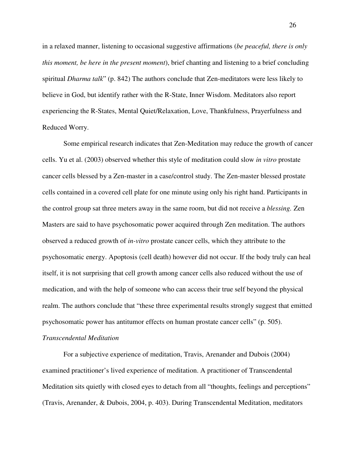in a relaxed manner, listening to occasional suggestive affirmations (*be peaceful, there is only this moment, be here in the present moment*), brief chanting and listening to a brief concluding spiritual *Dharma talk*" (p. 842) The authors conclude that Zen-meditators were less likely to believe in God, but identify rather with the R-State, Inner Wisdom. Meditators also report experiencing the R-States, Mental Quiet/Relaxation, Love, Thankfulness, Prayerfulness and Reduced Worry.

Some empirical research indicates that Zen-Meditation may reduce the growth of cancer cells. Yu et al. (2003) observed whether this style of meditation could slow *in vitro* prostate cancer cells blessed by a Zen-master in a case/control study. The Zen-master blessed prostate cells contained in a covered cell plate for one minute using only his right hand. Participants in the control group sat three meters away in the same room, but did not receive a *blessing.* Zen Masters are said to have psychosomatic power acquired through Zen meditation. The authors observed a reduced growth of *in-vitro* prostate cancer cells, which they attribute to the psychosomatic energy. Apoptosis (cell death) however did not occur. If the body truly can heal itself, it is not surprising that cell growth among cancer cells also reduced without the use of medication, and with the help of someone who can access their true self beyond the physical realm. The authors conclude that "these three experimental results strongly suggest that emitted psychosomatic power has antitumor effects on human prostate cancer cells" (p. 505).

#### *Transcendental Meditation*

For a subjective experience of meditation, Travis, Arenander and Dubois (2004) examined practitioner's lived experience of meditation. A practitioner of Transcendental Meditation sits quietly with closed eyes to detach from all "thoughts, feelings and perceptions" (Travis, Arenander, & Dubois, 2004, p. 403). During Transcendental Meditation, meditators

26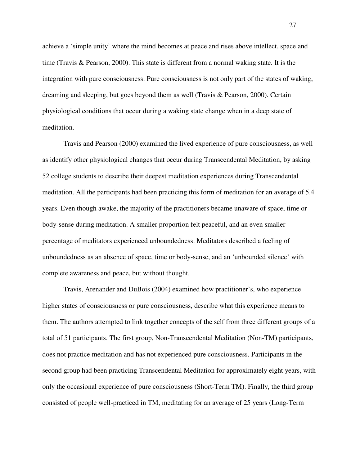achieve a 'simple unity' where the mind becomes at peace and rises above intellect, space and time (Travis & Pearson, 2000). This state is different from a normal waking state. It is the integration with pure consciousness. Pure consciousness is not only part of the states of waking, dreaming and sleeping, but goes beyond them as well (Travis & Pearson, 2000). Certain physiological conditions that occur during a waking state change when in a deep state of meditation.

Travis and Pearson (2000) examined the lived experience of pure consciousness, as well as identify other physiological changes that occur during Transcendental Meditation, by asking 52 college students to describe their deepest meditation experiences during Transcendental meditation. All the participants had been practicing this form of meditation for an average of 5.4 years. Even though awake, the majority of the practitioners became unaware of space, time or body-sense during meditation. A smaller proportion felt peaceful, and an even smaller percentage of meditators experienced unboundedness. Meditators described a feeling of unboundedness as an absence of space, time or body-sense, and an 'unbounded silence' with complete awareness and peace, but without thought.

Travis, Arenander and DuBois (2004) examined how practitioner's, who experience higher states of consciousness or pure consciousness, describe what this experience means to them. The authors attempted to link together concepts of the self from three different groups of a total of 51 participants. The first group, Non-Transcendental Meditation (Non-TM) participants, does not practice meditation and has not experienced pure consciousness. Participants in the second group had been practicing Transcendental Meditation for approximately eight years, with only the occasional experience of pure consciousness (Short-Term TM). Finally, the third group consisted of people well-practiced in TM, meditating for an average of 25 years (Long-Term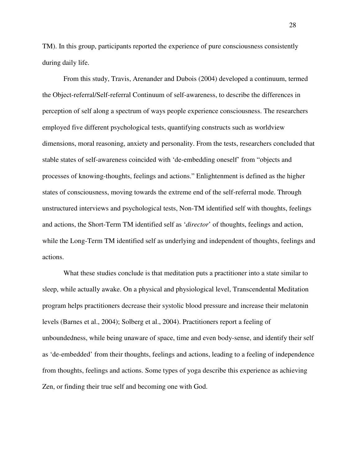TM). In this group, participants reported the experience of pure consciousness consistently during daily life.

From this study, Travis, Arenander and Dubois (2004) developed a continuum, termed the Object-referral/Self-referral Continuum of self-awareness, to describe the differences in perception of self along a spectrum of ways people experience consciousness. The researchers employed five different psychological tests, quantifying constructs such as worldview dimensions, moral reasoning, anxiety and personality. From the tests, researchers concluded that stable states of self-awareness coincided with 'de-embedding oneself' from "objects and processes of knowing-thoughts, feelings and actions." Enlightenment is defined as the higher states of consciousness, moving towards the extreme end of the self-referral mode. Through unstructured interviews and psychological tests, Non-TM identified self with thoughts, feelings and actions, the Short-Term TM identified self as '*director*' of thoughts, feelings and action, while the Long-Term TM identified self as underlying and independent of thoughts, feelings and actions.

What these studies conclude is that meditation puts a practitioner into a state similar to sleep, while actually awake. On a physical and physiological level, Transcendental Meditation program helps practitioners decrease their systolic blood pressure and increase their melatonin levels (Barnes et al., 2004); Solberg et al., 2004). Practitioners report a feeling of unboundedness, while being unaware of space, time and even body-sense, and identify their self as 'de-embedded' from their thoughts, feelings and actions, leading to a feeling of independence from thoughts, feelings and actions. Some types of yoga describe this experience as achieving Zen, or finding their true self and becoming one with God.

28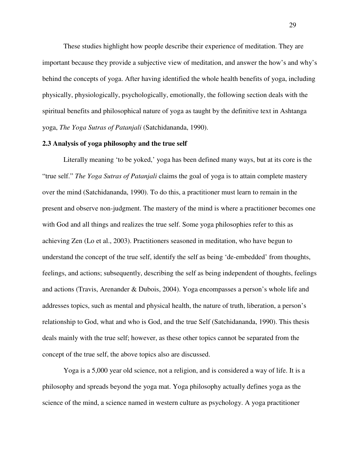These studies highlight how people describe their experience of meditation. They are important because they provide a subjective view of meditation, and answer the how's and why's behind the concepts of yoga. After having identified the whole health benefits of yoga, including physically, physiologically, psychologically, emotionally, the following section deals with the spiritual benefits and philosophical nature of yoga as taught by the definitive text in Ashtanga yoga, *The Yoga Sutras of Patanjali* (Satchidananda, 1990).

#### **2.3 Analysis of yoga philosophy and the true self**

Literally meaning 'to be yoked,' yoga has been defined many ways, but at its core is the "true self." *The Yoga Sutras of Patanjali* claims the goal of yoga is to attain complete mastery over the mind (Satchidananda, 1990). To do this, a practitioner must learn to remain in the present and observe non-judgment. The mastery of the mind is where a practitioner becomes one with God and all things and realizes the true self. Some yoga philosophies refer to this as achieving Zen (Lo et al., 2003). Practitioners seasoned in meditation, who have begun to understand the concept of the true self, identify the self as being 'de-embedded' from thoughts, feelings, and actions; subsequently, describing the self as being independent of thoughts, feelings and actions (Travis, Arenander & Dubois, 2004). Yoga encompasses a person's whole life and addresses topics, such as mental and physical health, the nature of truth, liberation, a person's relationship to God, what and who is God, and the true Self (Satchidananda, 1990). This thesis deals mainly with the true self; however, as these other topics cannot be separated from the concept of the true self, the above topics also are discussed.

Yoga is a 5,000 year old science, not a religion, and is considered a way of life. It is a philosophy and spreads beyond the yoga mat. Yoga philosophy actually defines yoga as the science of the mind, a science named in western culture as psychology. A yoga practitioner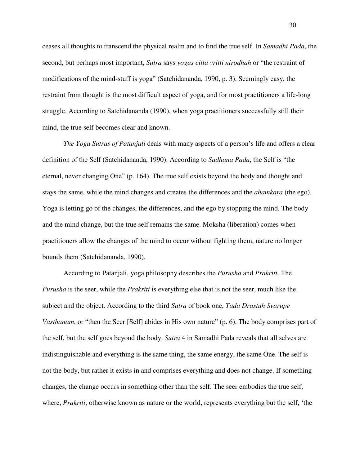ceases all thoughts to transcend the physical realm and to find the true self. In *Samadhi Pada*, the second, but perhaps most important, *Sutra* says *yogas citta vritti nirodhah* or "the restraint of modifications of the mind-stuff is yoga" (Satchidananda, 1990, p. 3). Seemingly easy, the restraint from thought is the most difficult aspect of yoga, and for most practitioners a life-long struggle. According to Satchidananda (1990), when yoga practitioners successfully still their mind, the true self becomes clear and known.

*The Yoga Sutras of Patanjali* deals with many aspects of a person's life and offers a clear definition of the Self (Satchidananda, 1990). According to *Sadhana Pada*, the Self is "the eternal, never changing One" (p. 164). The true self exists beyond the body and thought and stays the same, while the mind changes and creates the differences and the *ahamkara* (the ego). Yoga is letting go of the changes, the differences, and the ego by stopping the mind. The body and the mind change, but the true self remains the same. Moksha (liberation) comes when practitioners allow the changes of the mind to occur without fighting them, nature no longer bounds them (Satchidananda, 1990).

According to Patanjali, yoga philosophy describes the *Purusha* and *Prakriti*. The *Purusha* is the seer, while the *Prakriti* is everything else that is not the seer, much like the subject and the object. According to the third *Sutra* of book one, *Tada Drastuh Svarupe Vasthanam*, or "then the Seer [Self] abides in His own nature" (p. 6). The body comprises part of the self, but the self goes beyond the body. *Sutra* 4 in Samadhi Pada reveals that all selves are indistinguishable and everything is the same thing, the same energy, the same One. The self is not the body, but rather it exists in and comprises everything and does not change. If something changes, the change occurs in something other than the self. The seer embodies the true self, where, *Prakriti*, otherwise known as nature or the world, represents everything but the self, 'the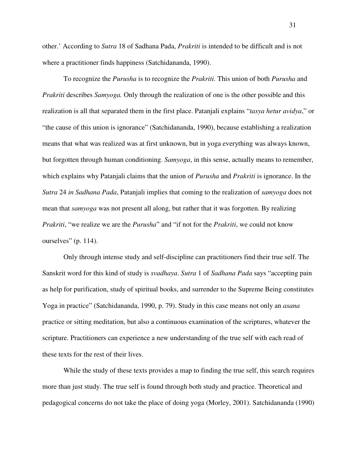other.' According to *Sutra* 18 of Sadhana Pada, *Prakriti* is intended to be difficult and is not where a practitioner finds happiness (Satchidananda, 1990).

To recognize the *Purusha* is to recognize the *Prakriti.* This union of both *Purusha* and *Prakriti* describes *Samyoga.* Only through the realization of one is the other possible and this realization is all that separated them in the first place. Patanjali explains "*tasya hetur avidya*," or "the cause of this union is ignorance" (Satchidananda, 1990), because establishing a realization means that what was realized was at first unknown, but in yoga everything was always known, but forgotten through human conditioning. *Samyoga*, in this sense, actually means to remember, which explains why Patanjali claims that the union of *Purusha* and *Prakriti* is ignorance. In the *Sutra* 24 *in Sadhana Pada*, Patanjali implies that coming to the realization of *samyoga* does not mean that *samyoga* was not present all along, but rather that it was forgotten. By realizing *Prakriti*, "we realize we are the *Purusha*" and "if not for the *Prakriti*, we could not know ourselves" (p. 114).

Only through intense study and self-discipline can practitioners find their true self. The Sanskrit word for this kind of study is *svadhaya*. *Sutra* 1 of *Sadhana Pada* says "accepting pain as help for purification, study of spiritual books, and surrender to the Supreme Being constitutes Yoga in practice" (Satchidananda, 1990, p. 79). Study in this case means not only an *asana* practice or sitting meditation, but also a continuous examination of the scriptures, whatever the scripture. Practitioners can experience a new understanding of the true self with each read of these texts for the rest of their lives.

While the study of these texts provides a map to finding the true self, this search requires more than just study. The true self is found through both study and practice. Theoretical and pedagogical concerns do not take the place of doing yoga (Morley, 2001). Satchidananda (1990)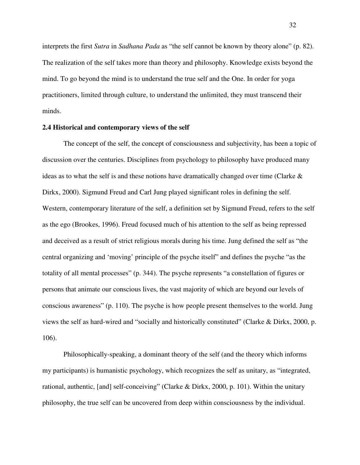interprets the first *Sutra* in *Sadhana Pada* as "the self cannot be known by theory alone" (p. 82). The realization of the self takes more than theory and philosophy. Knowledge exists beyond the mind. To go beyond the mind is to understand the true self and the One. In order for yoga practitioners, limited through culture, to understand the unlimited, they must transcend their minds.

## **2.4 Historical and contemporary views of the self**

The concept of the self, the concept of consciousness and subjectivity, has been a topic of discussion over the centuries. Disciplines from psychology to philosophy have produced many ideas as to what the self is and these notions have dramatically changed over time (Clarke  $\&$ Dirkx, 2000). Sigmund Freud and Carl Jung played significant roles in defining the self. Western, contemporary literature of the self, a definition set by Sigmund Freud, refers to the self as the ego (Brookes, 1996). Freud focused much of his attention to the self as being repressed and deceived as a result of strict religious morals during his time. Jung defined the self as "the central organizing and 'moving' principle of the psyche itself" and defines the psyche "as the totality of all mental processes" (p. 344). The psyche represents "a constellation of figures or persons that animate our conscious lives, the vast majority of which are beyond our levels of conscious awareness" (p. 110). The psyche is how people present themselves to the world. Jung views the self as hard-wired and "socially and historically constituted" (Clarke & Dirkx, 2000, p. 106).

Philosophically-speaking, a dominant theory of the self (and the theory which informs my participants) is humanistic psychology, which recognizes the self as unitary, as "integrated, rational, authentic, [and] self-conceiving" (Clarke & Dirkx, 2000, p. 101). Within the unitary philosophy, the true self can be uncovered from deep within consciousness by the individual.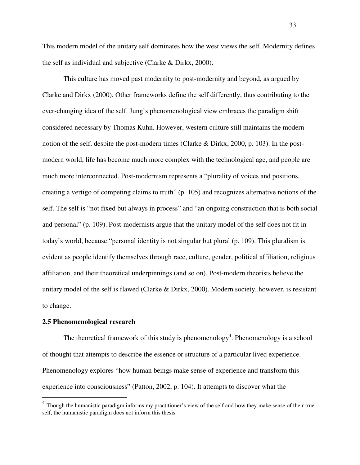This modern model of the unitary self dominates how the west views the self. Modernity defines the self as individual and subjective (Clarke & Dirkx, 2000).

This culture has moved past modernity to post-modernity and beyond, as argued by Clarke and Dirkx (2000). Other frameworks define the self differently, thus contributing to the ever-changing idea of the self. Jung's phenomenological view embraces the paradigm shift considered necessary by Thomas Kuhn. However, western culture still maintains the modern notion of the self, despite the post-modern times (Clarke & Dirkx, 2000, p. 103). In the postmodern world, life has become much more complex with the technological age, and people are much more interconnected. Post-modernism represents a "plurality of voices and positions, creating a vertigo of competing claims to truth" (p. 105) and recognizes alternative notions of the self. The self is "not fixed but always in process" and "an ongoing construction that is both social and personal" (p. 109). Post-modernists argue that the unitary model of the self does not fit in today's world, because "personal identity is not singular but plural (p. 109). This pluralism is evident as people identify themselves through race, culture, gender, political affiliation, religious affiliation, and their theoretical underpinnings (and so on). Post-modern theorists believe the unitary model of the self is flawed (Clarke & Dirkx, 2000). Modern society, however, is resistant to change.

### **2.5 Phenomenological research**

 $\overline{a}$ 

The theoretical framework of this study is phenomenology<sup>4</sup>. Phenomenology is a school of thought that attempts to describe the essence or structure of a particular lived experience. Phenomenology explores "how human beings make sense of experience and transform this experience into consciousness" (Patton, 2002, p. 104). It attempts to discover what the

<sup>&</sup>lt;sup>4</sup> Though the humanistic paradigm informs my practitioner's view of the self and how they make sense of their true self, the humanistic paradigm does not inform this thesis.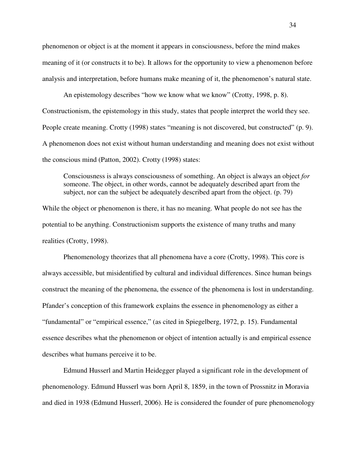phenomenon or object is at the moment it appears in consciousness, before the mind makes meaning of it (or constructs it to be). It allows for the opportunity to view a phenomenon before analysis and interpretation, before humans make meaning of it, the phenomenon's natural state.

An epistemology describes "how we know what we know" (Crotty, 1998, p. 8). Constructionism, the epistemology in this study, states that people interpret the world they see. People create meaning. Crotty (1998) states "meaning is not discovered, but constructed" (p. 9). A phenomenon does not exist without human understanding and meaning does not exist without the conscious mind (Patton, 2002). Crotty (1998) states:

Consciousness is always consciousness of something. An object is always an object *for* someone. The object, in other words, cannot be adequately described apart from the subject, nor can the subject be adequately described apart from the object. (p. 79)

While the object or phenomenon is there, it has no meaning. What people do not see has the potential to be anything. Constructionism supports the existence of many truths and many realities (Crotty, 1998).

Phenomenology theorizes that all phenomena have a core (Crotty, 1998). This core is always accessible, but misidentified by cultural and individual differences. Since human beings construct the meaning of the phenomena, the essence of the phenomena is lost in understanding. Pfander's conception of this framework explains the essence in phenomenology as either a "fundamental" or "empirical essence," (as cited in Spiegelberg, 1972, p. 15). Fundamental essence describes what the phenomenon or object of intention actually is and empirical essence describes what humans perceive it to be.

Edmund Husserl and Martin Heidegger played a significant role in the development of phenomenology. Edmund Husserl was born April 8, 1859, in the town of Prossnitz in Moravia and died in 1938 (Edmund Husserl, 2006). He is considered the founder of pure phenomenology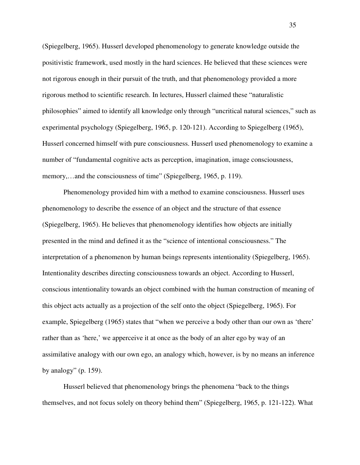(Spiegelberg, 1965). Husserl developed phenomenology to generate knowledge outside the positivistic framework, used mostly in the hard sciences. He believed that these sciences were not rigorous enough in their pursuit of the truth, and that phenomenology provided a more rigorous method to scientific research. In lectures, Husserl claimed these "naturalistic philosophies" aimed to identify all knowledge only through "uncritical natural sciences," such as experimental psychology (Spiegelberg, 1965, p. 120-121). According to Spiegelberg (1965), Husserl concerned himself with pure consciousness. Husserl used phenomenology to examine a number of "fundamental cognitive acts as perception, imagination, image consciousness, memory,…and the consciousness of time" (Spiegelberg, 1965, p. 119).

Phenomenology provided him with a method to examine consciousness. Husserl uses phenomenology to describe the essence of an object and the structure of that essence (Spiegelberg, 1965). He believes that phenomenology identifies how objects are initially presented in the mind and defined it as the "science of intentional consciousness." The interpretation of a phenomenon by human beings represents intentionality (Spiegelberg, 1965). Intentionality describes directing consciousness towards an object. According to Husserl, conscious intentionality towards an object combined with the human construction of meaning of this object acts actually as a projection of the self onto the object (Spiegelberg, 1965). For example, Spiegelberg (1965) states that "when we perceive a body other than our own as 'there' rather than as 'here,' we apperceive it at once as the body of an alter ego by way of an assimilative analogy with our own ego, an analogy which, however, is by no means an inference by analogy" (p. 159).

Husserl believed that phenomenology brings the phenomena "back to the things themselves, and not focus solely on theory behind them" (Spiegelberg, 1965, p. 121-122). What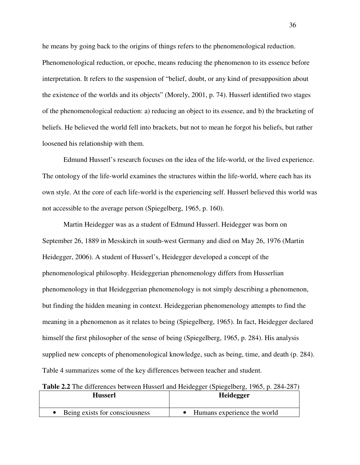he means by going back to the origins of things refers to the phenomenological reduction. Phenomenological reduction, or epoche, means reducing the phenomenon to its essence before interpretation. It refers to the suspension of "belief, doubt, or any kind of presupposition about the existence of the worlds and its objects" (Morely, 2001, p. 74). Husserl identified two stages of the phenomenological reduction: a) reducing an object to its essence, and b) the bracketing of beliefs. He believed the world fell into brackets, but not to mean he forgot his beliefs, but rather loosened his relationship with them.

Edmund Husserl's research focuses on the idea of the life-world, or the lived experience. The ontology of the life-world examines the structures within the life-world, where each has its own style. At the core of each life-world is the experiencing self. Husserl believed this world was not accessible to the average person (Spiegelberg, 1965, p. 160).

Martin Heidegger was as a student of Edmund Husserl. Heidegger was born on September 26, 1889 in Messkirch in south-west Germany and died on May 26, 1976 (Martin Heidegger, 2006). A student of Husserl's, Heidegger developed a concept of the phenomenological philosophy. Heideggerian phenomenology differs from Husserlian phenomenology in that Heideggerian phenomenology is not simply describing a phenomenon, but finding the hidden meaning in context. Heideggerian phenomenology attempts to find the meaning in a phenomenon as it relates to being (Spiegelberg, 1965). In fact, Heidegger declared himself the first philosopher of the sense of being (Spiegelberg, 1965, p. 284). His analysis supplied new concepts of phenomenological knowledge, such as being, time, and death (p. 284). Table 4 summarizes some of the key differences between teacher and student.

**Table 2.2** The differences between Husserl and Heidegger (Spiegelberg, 1965, p. 284-287)

| Husserl                        | <b>Heidegger</b>            |
|--------------------------------|-----------------------------|
| Being exists for consciousness | Humans experience the world |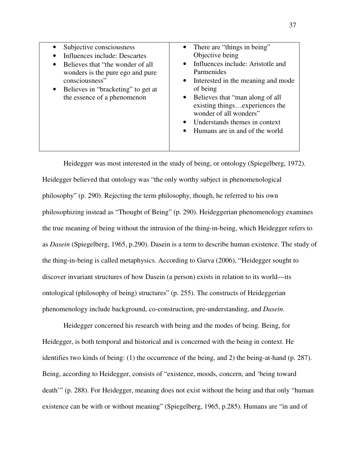| Subjective consciousness<br>Influences include: Descartes<br>Believes that "the wonder of all<br>$\bullet$<br>wonders is the pure ego and pure<br>consciousness"<br>Believes in "bracketing" to get at<br>$\bullet$<br>the essence of a phenomenon | • There are "things in being"<br>Objective being<br>• Influences include: Aristotle and<br>Parmenides<br>• Interested in the meaning and mode<br>of being<br>• Believes that "man along of all<br>existing thingsexperiences the<br>wonder of all wonders"<br>Understands themes in context<br>$\bullet$<br>Humans are in and of the world<br>$\bullet$ |
|----------------------------------------------------------------------------------------------------------------------------------------------------------------------------------------------------------------------------------------------------|---------------------------------------------------------------------------------------------------------------------------------------------------------------------------------------------------------------------------------------------------------------------------------------------------------------------------------------------------------|
|                                                                                                                                                                                                                                                    |                                                                                                                                                                                                                                                                                                                                                         |

Heidegger was most interested in the study of being, or ontology (Spiegelberg, 1972). Heidegger believed that ontology was "the only worthy subject in phenomenological philosophy" (p. 290). Rejecting the term philosophy, though, he referred to his own philosophizing instead as "Thought of Being" (p. 290). Heideggerian phenomenology examines the true meaning of being without the intrusion of the thing-in-being, which Heidegger refers to as *Dasein* (Spiegelberg, 1965, p.290). Dasein is a term to describe human existence. The study of the thing-in-being is called metaphysics. According to Garva (2006), "Heidegger sought to discover invariant structures of how Dasein (a person) exists in relation to its world—its ontological (philosophy of being) structures" (p. 255). The constructs of Heideggerian phenomenology include background, co-construction, pre-understanding, and *Dasein*.

Heidegger concerned his research with being and the modes of being. Being, for Heidegger, is both temporal and historical and is concerned with the being in context. He identifies two kinds of being: (1) the occurrence of the being, and 2) the being-at-hand (p. 287). Being, according to Heidegger, consists of "existence, moods, concern, and 'being toward death'" (p. 288). For Heidegger, meaning does not exist without the being and that only "human existence can be with or without meaning" (Spiegelberg, 1965, p.285). Humans are "in and of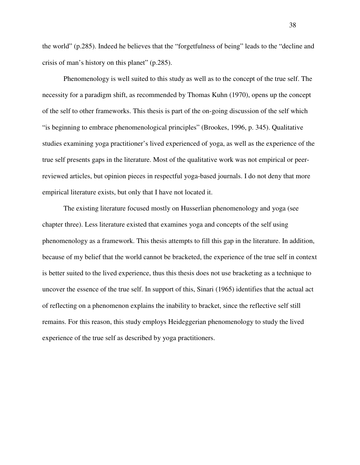the world" (p.285). Indeed he believes that the "forgetfulness of being" leads to the "decline and crisis of man's history on this planet" (p.285).

Phenomenology is well suited to this study as well as to the concept of the true self. The necessity for a paradigm shift, as recommended by Thomas Kuhn (1970), opens up the concept of the self to other frameworks. This thesis is part of the on-going discussion of the self which "is beginning to embrace phenomenological principles" (Brookes, 1996, p. 345). Qualitative studies examining yoga practitioner's lived experienced of yoga, as well as the experience of the true self presents gaps in the literature. Most of the qualitative work was not empirical or peerreviewed articles, but opinion pieces in respectful yoga-based journals. I do not deny that more empirical literature exists, but only that I have not located it.

The existing literature focused mostly on Husserlian phenomenology and yoga (see chapter three). Less literature existed that examines yoga and concepts of the self using phenomenology as a framework. This thesis attempts to fill this gap in the literature. In addition, because of my belief that the world cannot be bracketed, the experience of the true self in context is better suited to the lived experience, thus this thesis does not use bracketing as a technique to uncover the essence of the true self. In support of this, Sinari (1965) identifies that the actual act of reflecting on a phenomenon explains the inability to bracket, since the reflective self still remains. For this reason, this study employs Heideggerian phenomenology to study the lived experience of the true self as described by yoga practitioners.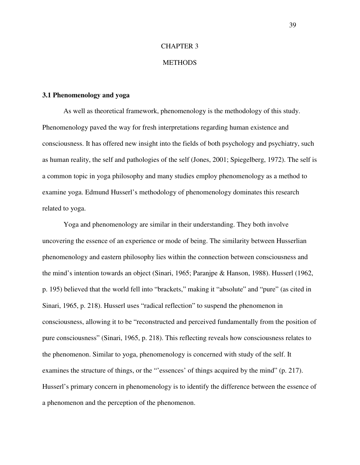# CHAPTER 3

## **METHODS**

### **3.1 Phenomenology and yoga**

As well as theoretical framework, phenomenology is the methodology of this study. Phenomenology paved the way for fresh interpretations regarding human existence and consciousness. It has offered new insight into the fields of both psychology and psychiatry, such as human reality, the self and pathologies of the self (Jones, 2001; Spiegelberg, 1972). The self is a common topic in yoga philosophy and many studies employ phenomenology as a method to examine yoga. Edmund Husserl's methodology of phenomenology dominates this research related to yoga.

Yoga and phenomenology are similar in their understanding. They both involve uncovering the essence of an experience or mode of being. The similarity between Husserlian phenomenology and eastern philosophy lies within the connection between consciousness and the mind's intention towards an object (Sinari, 1965; Paranjpe & Hanson, 1988). Husserl (1962, p. 195) believed that the world fell into "brackets," making it "absolute" and "pure" (as cited in Sinari, 1965, p. 218). Husserl uses "radical reflection" to suspend the phenomenon in consciousness, allowing it to be "reconstructed and perceived fundamentally from the position of pure consciousness" (Sinari, 1965, p. 218). This reflecting reveals how consciousness relates to the phenomenon. Similar to yoga, phenomenology is concerned with study of the self. It examines the structure of things, or the "'essences' of things acquired by the mind" (p. 217). Husserl's primary concern in phenomenology is to identify the difference between the essence of a phenomenon and the perception of the phenomenon.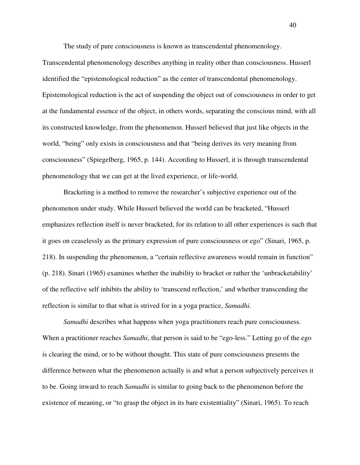The study of pure consciousness is known as transcendental phenomenology.

Transcendental phenomenology describes anything in reality other than consciousness. Husserl identified the "epistemological reduction" as the center of transcendental phenomenology. Epistemological reduction is the act of suspending the object out of consciousness in order to get at the fundamental essence of the object, in others words, separating the conscious mind, with all its constructed knowledge, from the phenomenon. Husserl believed that just like objects in the world, "being" only exists in consciousness and that "being derives its very meaning from consciousness" (Spiegelberg, 1965, p. 144). According to Husserl, it is through transcendental phenomenology that we can get at the lived experience, or life-world.

Bracketing is a method to remove the researcher's subjective experience out of the phenomenon under study. While Husserl believed the world can be bracketed, "Husserl emphasizes reflection itself is never bracketed, for its relation to all other experiences is such that it goes on ceaselessly as the primary expression of pure consciousness or ego" (Sinari, 1965, p. 218). In suspending the phenomenon, a "certain reflective awareness would remain in function" (p. 218). Sinari (1965) examines whether the inability to bracket or rather the 'unbracketability' of the reflective self inhibits the ability to 'transcend reflection,' and whether transcending the reflection is similar to that what is strived for in a yoga practice, *Samadhi.* 

*Samadhi* describes what happens when yoga practitioners reach pure consciousness. When a practitioner reaches *Samadhi*, that person is said to be "ego-less." Letting go of the ego is clearing the mind, or to be without thought. This state of pure consciousness presents the difference between what the phenomenon actually is and what a person subjectively perceives it to be. Going inward to reach *Samadhi* is similar to going back to the phenomenon before the existence of meaning, or "to grasp the object in its bare existentiality" (Sinari, 1965). To reach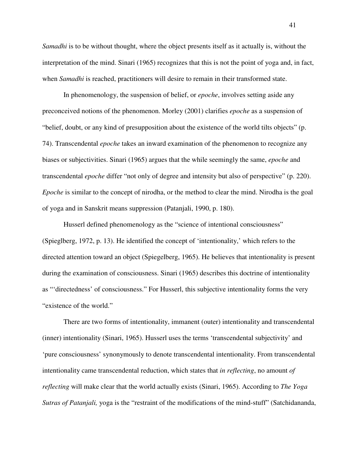*Samadhi* is to be without thought, where the object presents itself as it actually is, without the interpretation of the mind. Sinari (1965) recognizes that this is not the point of yoga and, in fact, when *Samadhi* is reached, practitioners will desire to remain in their transformed state.

In phenomenology, the suspension of belief, or *epoche*, involves setting aside any preconceived notions of the phenomenon. Morley (2001) clarifies *epoche* as a suspension of "belief, doubt, or any kind of presupposition about the existence of the world tilts objects" (p. 74). Transcendental *epoche* takes an inward examination of the phenomenon to recognize any biases or subjectivities. Sinari (1965) argues that the while seemingly the same, *epoche* and transcendental *epoche* differ "not only of degree and intensity but also of perspective" (p. 220). *Epoche* is similar to the concept of nirodha, or the method to clear the mind. Nirodha is the goal of yoga and in Sanskrit means suppression (Patanjali, 1990, p. 180).

Husserl defined phenomenology as the "science of intentional consciousness" (Spieglberg, 1972, p. 13). He identified the concept of 'intentionality,' which refers to the directed attention toward an object (Spiegelberg, 1965). He believes that intentionality is present during the examination of consciousness. Sinari (1965) describes this doctrine of intentionality as "'directedness' of consciousness." For Husserl, this subjective intentionality forms the very "existence of the world."

There are two forms of intentionality, immanent (outer) intentionality and transcendental (inner) intentionality (Sinari, 1965). Husserl uses the terms 'transcendental subjectivity' and 'pure consciousness' synonymously to denote transcendental intentionality. From transcendental intentionality came transcendental reduction, which states that *in reflecting*, no amount *of reflecting* will make clear that the world actually exists (Sinari, 1965). According to *The Yoga Sutras of Patanjali,* yoga is the "restraint of the modifications of the mind-stuff" (Satchidananda,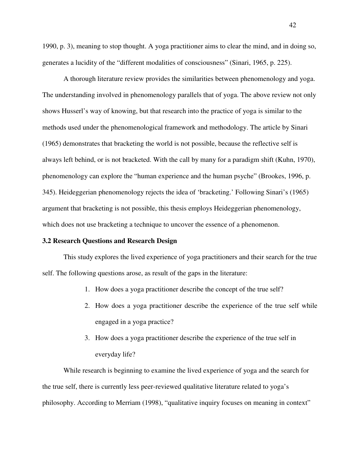1990, p. 3), meaning to stop thought. A yoga practitioner aims to clear the mind, and in doing so, generates a lucidity of the "different modalities of consciousness" (Sinari, 1965, p. 225).

A thorough literature review provides the similarities between phenomenology and yoga. The understanding involved in phenomenology parallels that of yoga. The above review not only shows Husserl's way of knowing, but that research into the practice of yoga is similar to the methods used under the phenomenological framework and methodology. The article by Sinari (1965) demonstrates that bracketing the world is not possible, because the reflective self is always left behind, or is not bracketed. With the call by many for a paradigm shift (Kuhn, 1970), phenomenology can explore the "human experience and the human psyche" (Brookes, 1996, p. 345). Heideggerian phenomenology rejects the idea of 'bracketing.' Following Sinari's (1965) argument that bracketing is not possible, this thesis employs Heideggerian phenomenology, which does not use bracketing a technique to uncover the essence of a phenomenon.

# **3.2 Research Questions and Research Design**

This study explores the lived experience of yoga practitioners and their search for the true self. The following questions arose, as result of the gaps in the literature:

- 1. How does a yoga practitioner describe the concept of the true self?
- 2. How does a yoga practitioner describe the experience of the true self while engaged in a yoga practice?
- 3. How does a yoga practitioner describe the experience of the true self in everyday life?

 While research is beginning to examine the lived experience of yoga and the search for the true self, there is currently less peer-reviewed qualitative literature related to yoga's philosophy. According to Merriam (1998), "qualitative inquiry focuses on meaning in context"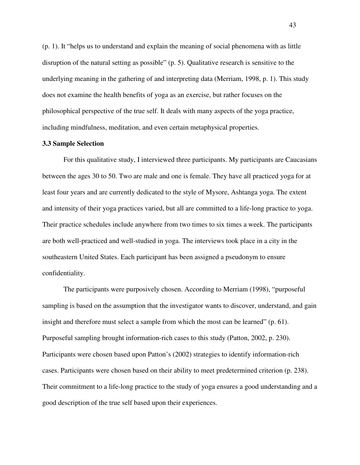(p. 1). It "helps us to understand and explain the meaning of social phenomena with as little disruption of the natural setting as possible" (p. 5). Qualitative research is sensitive to the underlying meaning in the gathering of and interpreting data (Merriam, 1998, p. 1). This study does not examine the health benefits of yoga as an exercise, but rather focuses on the philosophical perspective of the true self. It deals with many aspects of the yoga practice, including mindfulness, meditation, and even certain metaphysical properties.

# **3.3 Sample Selection**

For this qualitative study, I interviewed three participants. My participants are Caucasians between the ages 30 to 50. Two are male and one is female. They have all practiced yoga for at least four years and are currently dedicated to the style of Mysore, Ashtanga yoga. The extent and intensity of their yoga practices varied, but all are committed to a life-long practice to yoga. Their practice schedules include anywhere from two times to six times a week. The participants are both well-practiced and well-studied in yoga. The interviews took place in a city in the southeastern United States. Each participant has been assigned a pseudonym to ensure confidentiality.

The participants were purposively chosen. According to Merriam (1998), "purposeful sampling is based on the assumption that the investigator wants to discover, understand, and gain insight and therefore must select a sample from which the most can be learned" (p. 61). Purposeful sampling brought information-rich cases to this study (Patton, 2002, p. 230). Participants were chosen based upon Patton's (2002) strategies to identify information-rich cases. Participants were chosen based on their ability to meet predetermined criterion (p. 238). Their commitment to a life-long practice to the study of yoga ensures a good understanding and a good description of the true self based upon their experiences.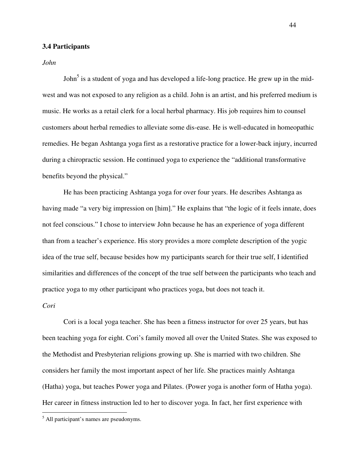# **3.4 Participants**

*John* 

John<sup>5</sup> is a student of yoga and has developed a life-long practice. He grew up in the midwest and was not exposed to any religion as a child. John is an artist, and his preferred medium is music. He works as a retail clerk for a local herbal pharmacy. His job requires him to counsel customers about herbal remedies to alleviate some dis-ease. He is well-educated in homeopathic remedies. He began Ashtanga yoga first as a restorative practice for a lower-back injury, incurred during a chiropractic session. He continued yoga to experience the "additional transformative benefits beyond the physical."

He has been practicing Ashtanga yoga for over four years. He describes Ashtanga as having made "a very big impression on [him]." He explains that "the logic of it feels innate, does not feel conscious." I chose to interview John because he has an experience of yoga different than from a teacher's experience. His story provides a more complete description of the yogic idea of the true self, because besides how my participants search for their true self, I identified similarities and differences of the concept of the true self between the participants who teach and practice yoga to my other participant who practices yoga, but does not teach it.

# *Cori*

 $\overline{a}$ 

Cori is a local yoga teacher. She has been a fitness instructor for over 25 years, but has been teaching yoga for eight. Cori's family moved all over the United States. She was exposed to the Methodist and Presbyterian religions growing up. She is married with two children. She considers her family the most important aspect of her life. She practices mainly Ashtanga (Hatha) yoga, but teaches Power yoga and Pilates. (Power yoga is another form of Hatha yoga). Her career in fitness instruction led to her to discover yoga. In fact, her first experience with

<sup>&</sup>lt;sup>5</sup> All participant's names are pseudonyms.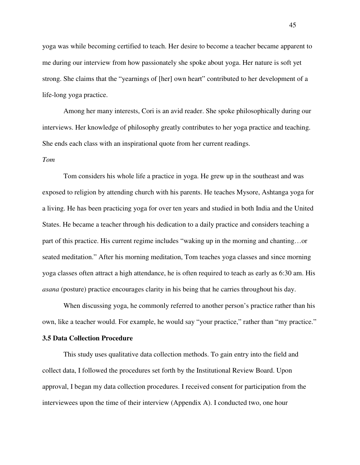yoga was while becoming certified to teach. Her desire to become a teacher became apparent to me during our interview from how passionately she spoke about yoga. Her nature is soft yet strong. She claims that the "yearnings of [her] own heart" contributed to her development of a life-long yoga practice.

Among her many interests, Cori is an avid reader. She spoke philosophically during our interviews. Her knowledge of philosophy greatly contributes to her yoga practice and teaching. She ends each class with an inspirational quote from her current readings.

#### *Tom*

Tom considers his whole life a practice in yoga. He grew up in the southeast and was exposed to religion by attending church with his parents. He teaches Mysore, Ashtanga yoga for a living. He has been practicing yoga for over ten years and studied in both India and the United States. He became a teacher through his dedication to a daily practice and considers teaching a part of this practice. His current regime includes "waking up in the morning and chanting…or seated meditation." After his morning meditation, Tom teaches yoga classes and since morning yoga classes often attract a high attendance, he is often required to teach as early as 6:30 am. His *asana* (posture) practice encourages clarity in his being that he carries throughout his day.

When discussing yoga, he commonly referred to another person's practice rather than his own, like a teacher would. For example, he would say "your practice," rather than "my practice."

## **3.5 Data Collection Procedure**

This study uses qualitative data collection methods. To gain entry into the field and collect data, I followed the procedures set forth by the Institutional Review Board. Upon approval, I began my data collection procedures. I received consent for participation from the interviewees upon the time of their interview (Appendix A). I conducted two, one hour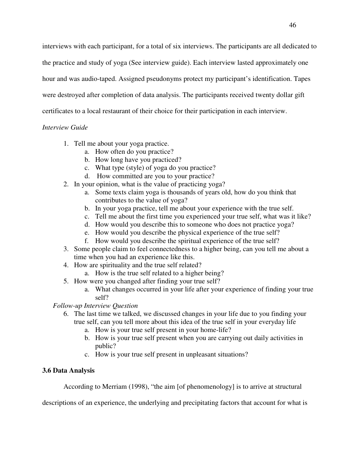interviews with each participant, for a total of six interviews. The participants are all dedicated to the practice and study of yoga (See interview guide). Each interview lasted approximately one hour and was audio-taped. Assigned pseudonyms protect my participant's identification. Tapes were destroyed after completion of data analysis. The participants received twenty dollar gift certificates to a local restaurant of their choice for their participation in each interview.

# *Interview Guide*

- 1. Tell me about your yoga practice.
	- a. How often do you practice?
	- b. How long have you practiced?
	- c. What type (style) of yoga do you practice?
	- d. How committed are you to your practice?
- 2. In your opinion, what is the value of practicing yoga?
	- a. Some texts claim yoga is thousands of years old, how do you think that contributes to the value of yoga?
	- b. In your yoga practice, tell me about your experience with the true self.
	- c. Tell me about the first time you experienced your true self, what was it like?
	- d. How would you describe this to someone who does not practice yoga?
	- e. How would you describe the physical experience of the true self?
	- f. How would you describe the spiritual experience of the true self?
- 3. Some people claim to feel connectedness to a higher being, can you tell me about a time when you had an experience like this.
- 4. How are spirituality and the true self related?
	- a. How is the true self related to a higher being?
- 5. How were you changed after finding your true self?
	- a. What changes occurred in your life after your experience of finding your true self?

# *Follow-up Interview Question*

- 6. The last time we talked, we discussed changes in your life due to you finding your true self, can you tell more about this idea of the true self in your everyday life
	- a. How is your true self present in your home-life?
	- b. How is your true self present when you are carrying out daily activities in public?
	- c. How is your true self present in unpleasant situations?

# **3.6 Data Analysis**

According to Merriam (1998), "the aim [of phenomenology] is to arrive at structural

descriptions of an experience, the underlying and precipitating factors that account for what is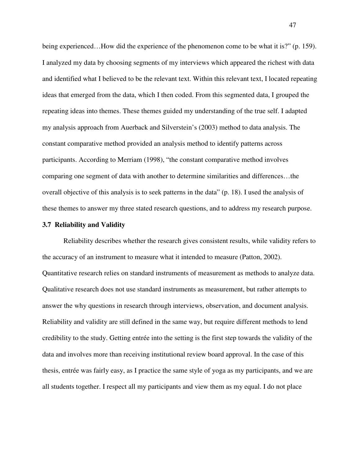being experienced…How did the experience of the phenomenon come to be what it is?" (p. 159). I analyzed my data by choosing segments of my interviews which appeared the richest with data and identified what I believed to be the relevant text. Within this relevant text, I located repeating ideas that emerged from the data, which I then coded. From this segmented data, I grouped the repeating ideas into themes. These themes guided my understanding of the true self. I adapted my analysis approach from Auerback and Silverstein's (2003) method to data analysis. The constant comparative method provided an analysis method to identify patterns across participants. According to Merriam (1998), "the constant comparative method involves comparing one segment of data with another to determine similarities and differences…the overall objective of this analysis is to seek patterns in the data" (p. 18). I used the analysis of these themes to answer my three stated research questions, and to address my research purpose.

#### **3.7 Reliability and Validity**

 Reliability describes whether the research gives consistent results, while validity refers to the accuracy of an instrument to measure what it intended to measure (Patton, 2002). Quantitative research relies on standard instruments of measurement as methods to analyze data. Qualitative research does not use standard instruments as measurement, but rather attempts to answer the why questions in research through interviews, observation, and document analysis. Reliability and validity are still defined in the same way, but require different methods to lend credibility to the study. Getting entrée into the setting is the first step towards the validity of the data and involves more than receiving institutional review board approval. In the case of this thesis, entrée was fairly easy, as I practice the same style of yoga as my participants, and we are all students together. I respect all my participants and view them as my equal. I do not place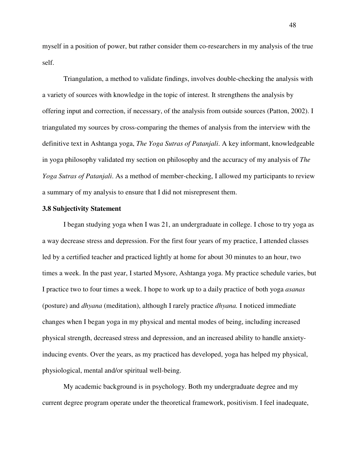myself in a position of power, but rather consider them co-researchers in my analysis of the true self.

Triangulation, a method to validate findings, involves double-checking the analysis with a variety of sources with knowledge in the topic of interest. It strengthens the analysis by offering input and correction, if necessary, of the analysis from outside sources (Patton, 2002). I triangulated my sources by cross-comparing the themes of analysis from the interview with the definitive text in Ashtanga yoga, *The Yoga Sutras of Patanjali*. A key informant, knowledgeable in yoga philosophy validated my section on philosophy and the accuracy of my analysis of *The Yoga Sutras of Patanjali*. As a method of member-checking, I allowed my participants to review a summary of my analysis to ensure that I did not misrepresent them.

#### **3.8 Subjectivity Statement**

I began studying yoga when I was 21, an undergraduate in college. I chose to try yoga as a way decrease stress and depression. For the first four years of my practice, I attended classes led by a certified teacher and practiced lightly at home for about 30 minutes to an hour, two times a week. In the past year, I started Mysore, Ashtanga yoga. My practice schedule varies, but I practice two to four times a week. I hope to work up to a daily practice of both yoga *asanas* (posture) and *dhyana* (meditation), although I rarely practice *dhyana.* I noticed immediate changes when I began yoga in my physical and mental modes of being, including increased physical strength, decreased stress and depression, and an increased ability to handle anxietyinducing events. Over the years, as my practiced has developed, yoga has helped my physical, physiological, mental and/or spiritual well-being.

My academic background is in psychology. Both my undergraduate degree and my current degree program operate under the theoretical framework, positivism. I feel inadequate,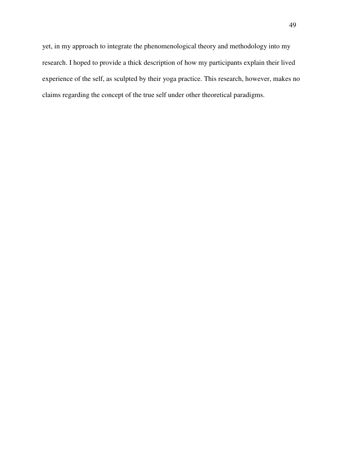yet, in my approach to integrate the phenomenological theory and methodology into my research. I hoped to provide a thick description of how my participants explain their lived experience of the self, as sculpted by their yoga practice. This research, however, makes no claims regarding the concept of the true self under other theoretical paradigms.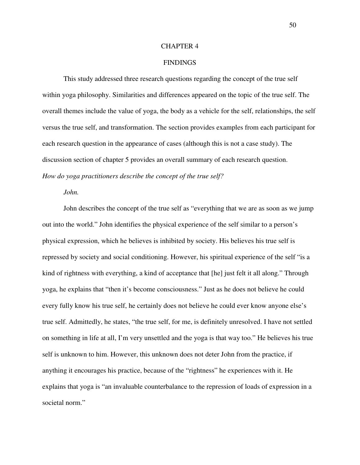## CHAPTER 4

## FINDINGS

This study addressed three research questions regarding the concept of the true self within yoga philosophy. Similarities and differences appeared on the topic of the true self. The overall themes include the value of yoga, the body as a vehicle for the self, relationships, the self versus the true self, and transformation. The section provides examples from each participant for each research question in the appearance of cases (although this is not a case study). The discussion section of chapter 5 provides an overall summary of each research question. *How do yoga practitioners describe the concept of the true self?* 

#### *John.*

John describes the concept of the true self as "everything that we are as soon as we jump out into the world." John identifies the physical experience of the self similar to a person's physical expression, which he believes is inhibited by society. His believes his true self is repressed by society and social conditioning. However, his spiritual experience of the self "is a kind of rightness with everything, a kind of acceptance that [he] just felt it all along." Through yoga, he explains that "then it's become consciousness." Just as he does not believe he could every fully know his true self, he certainly does not believe he could ever know anyone else's true self. Admittedly, he states, "the true self, for me, is definitely unresolved. I have not settled on something in life at all, I'm very unsettled and the yoga is that way too." He believes his true self is unknown to him. However, this unknown does not deter John from the practice, if anything it encourages his practice, because of the "rightness" he experiences with it. He explains that yoga is "an invaluable counterbalance to the repression of loads of expression in a societal norm."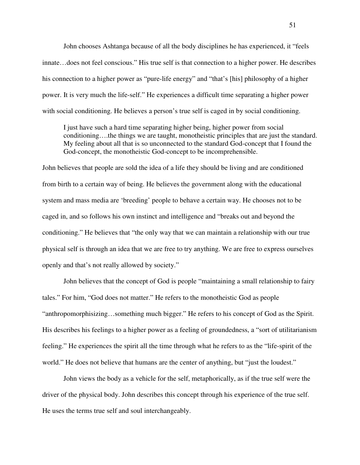John chooses Ashtanga because of all the body disciplines he has experienced, it "feels innate…does not feel conscious." His true self is that connection to a higher power. He describes his connection to a higher power as "pure-life energy" and "that's [his] philosophy of a higher power. It is very much the life-self." He experiences a difficult time separating a higher power with social conditioning. He believes a person's true self is caged in by social conditioning.

I just have such a hard time separating higher being, higher power from social conditioning….the things we are taught, monotheistic principles that are just the standard. My feeling about all that is so unconnected to the standard God-concept that I found the God-concept, the monotheistic God-concept to be incomprehensible.

John believes that people are sold the idea of a life they should be living and are conditioned from birth to a certain way of being. He believes the government along with the educational system and mass media are 'breeding' people to behave a certain way. He chooses not to be caged in, and so follows his own instinct and intelligence and "breaks out and beyond the conditioning." He believes that "the only way that we can maintain a relationship with our true physical self is through an idea that we are free to try anything. We are free to express ourselves openly and that's not really allowed by society."

John believes that the concept of God is people "maintaining a small relationship to fairy tales." For him, "God does not matter." He refers to the monotheistic God as people "anthropomorphisizing…something much bigger." He refers to his concept of God as the Spirit. His describes his feelings to a higher power as a feeling of groundedness, a "sort of utilitarianism feeling." He experiences the spirit all the time through what he refers to as the "life-spirit of the world." He does not believe that humans are the center of anything, but "just the loudest."

John views the body as a vehicle for the self, metaphorically, as if the true self were the driver of the physical body. John describes this concept through his experience of the true self. He uses the terms true self and soul interchangeably.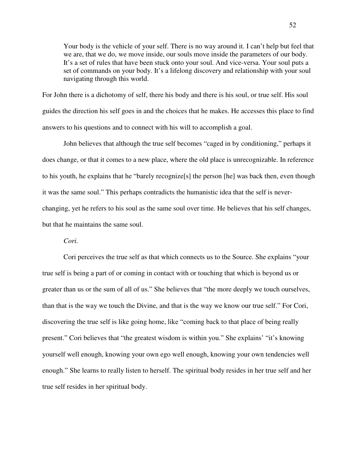Your body is the vehicle of your self. There is no way around it. I can't help but feel that we are, that we do, we move inside, our souls move inside the parameters of our body. It's a set of rules that have been stuck onto your soul. And vice-versa. Your soul puts a set of commands on your body. It's a lifelong discovery and relationship with your soul navigating through this world.

For John there is a dichotomy of self, there his body and there is his soul, or true self. His soul guides the direction his self goes in and the choices that he makes. He accesses this place to find answers to his questions and to connect with his will to accomplish a goal.

John believes that although the true self becomes "caged in by conditioning," perhaps it does change, or that it comes to a new place, where the old place is unrecognizable. In reference to his youth, he explains that he "barely recognize[s] the person [he] was back then, even though it was the same soul." This perhaps contradicts the humanistic idea that the self is neverchanging, yet he refers to his soul as the same soul over time. He believes that his self changes, but that he maintains the same soul.

*Cori.* 

Cori perceives the true self as that which connects us to the Source. She explains "your true self is being a part of or coming in contact with or touching that which is beyond us or greater than us or the sum of all of us." She believes that "the more deeply we touch ourselves, than that is the way we touch the Divine, and that is the way we know our true self." For Cori, discovering the true self is like going home, like "coming back to that place of being really present." Cori believes that "the greatest wisdom is within you." She explains' "it's knowing yourself well enough, knowing your own ego well enough, knowing your own tendencies well enough." She learns to really listen to herself. The spiritual body resides in her true self and her true self resides in her spiritual body.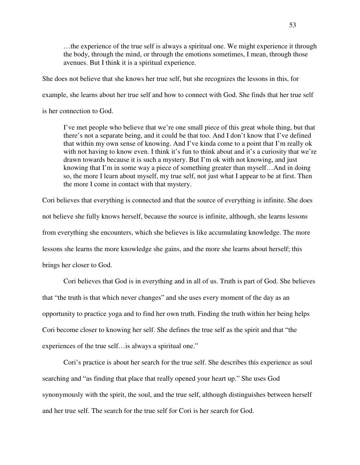…the experience of the true self is always a spiritual one. We might experience it through the body, through the mind, or through the emotions sometimes, I mean, through those avenues. But I think it is a spiritual experience.

She does not believe that she knows her true self, but she recognizes the lessons in this, for

example, she learns about her true self and how to connect with God. She finds that her true self

is her connection to God.

I've met people who believe that we're one small piece of this great whole thing, but that there's not a separate being, and it could be that too. And I don't know that I've defined that within my own sense of knowing. And I've kinda come to a point that I'm really ok with not having to know even. I think it's fun to think about and it's a curiosity that we're drawn towards because it is such a mystery. But I'm ok with not knowing, and just knowing that I'm in some way a piece of something greater than myself…And in doing so, the more I learn about myself, my true self, not just what I appear to be at first. Then the more I come in contact with that mystery.

Cori believes that everything is connected and that the source of everything is infinite. She does not believe she fully knows herself, because the source is infinite, although, she learns lessons from everything she encounters, which she believes is like accumulating knowledge. The more lessons she learns the more knowledge she gains, and the more she learns about herself; this brings her closer to God.

Cori believes that God is in everything and in all of us. Truth is part of God. She believes that "the truth is that which never changes" and she uses every moment of the day as an opportunity to practice yoga and to find her own truth. Finding the truth within her being helps Cori become closer to knowing her self. She defines the true self as the spirit and that "the experiences of the true self…is always a spiritual one."

Cori's practice is about her search for the true self. She describes this experience as soul searching and "as finding that place that really opened your heart up." She uses God synonymously with the spirit, the soul, and the true self, although distinguishes between herself and her true self. The search for the true self for Cori is her search for God.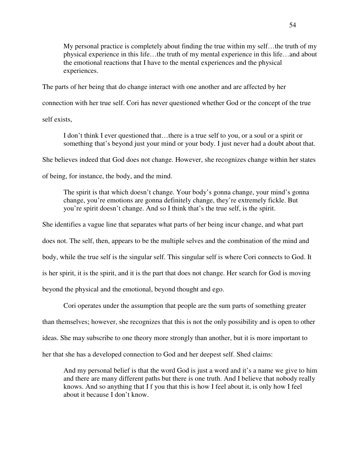My personal practice is completely about finding the true within my self…the truth of my physical experience in this life…the truth of my mental experience in this life…and about the emotional reactions that I have to the mental experiences and the physical experiences.

The parts of her being that do change interact with one another and are affected by her

connection with her true self. Cori has never questioned whether God or the concept of the true

self exists,

I don't think I ever questioned that…there is a true self to you, or a soul or a spirit or something that's beyond just your mind or your body. I just never had a doubt about that.

She believes indeed that God does not change. However, she recognizes change within her states

of being, for instance, the body, and the mind.

The spirit is that which doesn't change. Your body's gonna change, your mind's gonna change, you're emotions are gonna definitely change, they're extremely fickle. But you're spirit doesn't change. And so I think that's the true self, is the spirit.

She identifies a vague line that separates what parts of her being incur change, and what part

does not. The self, then, appears to be the multiple selves and the combination of the mind and

body, while the true self is the singular self. This singular self is where Cori connects to God. It

is her spirit, it is the spirit, and it is the part that does not change. Her search for God is moving

beyond the physical and the emotional, beyond thought and ego.

Cori operates under the assumption that people are the sum parts of something greater than themselves; however, she recognizes that this is not the only possibility and is open to other ideas. She may subscribe to one theory more strongly than another, but it is more important to her that she has a developed connection to God and her deepest self. Shed claims:

And my personal belief is that the word God is just a word and it's a name we give to him and there are many different paths but there is one truth. And I believe that nobody really knows. And so anything that I f you that this is how I feel about it, is only how I feel about it because I don't know.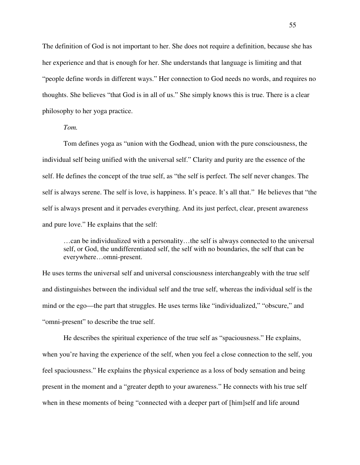The definition of God is not important to her. She does not require a definition, because she has her experience and that is enough for her. She understands that language is limiting and that "people define words in different ways." Her connection to God needs no words, and requires no thoughts. She believes "that God is in all of us." She simply knows this is true. There is a clear philosophy to her yoga practice.

*Tom.*

Tom defines yoga as "union with the Godhead, union with the pure consciousness, the individual self being unified with the universal self." Clarity and purity are the essence of the self. He defines the concept of the true self, as "the self is perfect. The self never changes. The self is always serene. The self is love, is happiness. It's peace. It's all that." He believes that "the self is always present and it pervades everything. And its just perfect, clear, present awareness and pure love." He explains that the self:

…can be individualized with a personality…the self is always connected to the universal self, or God, the undifferentiated self, the self with no boundaries, the self that can be everywhere…omni-present.

He uses terms the universal self and universal consciousness interchangeably with the true self and distinguishes between the individual self and the true self, whereas the individual self is the mind or the ego—the part that struggles. He uses terms like "individualized," "obscure," and "omni-present" to describe the true self.

He describes the spiritual experience of the true self as "spaciousness." He explains, when you're having the experience of the self, when you feel a close connection to the self, you feel spaciousness." He explains the physical experience as a loss of body sensation and being present in the moment and a "greater depth to your awareness." He connects with his true self when in these moments of being "connected with a deeper part of [him]self and life around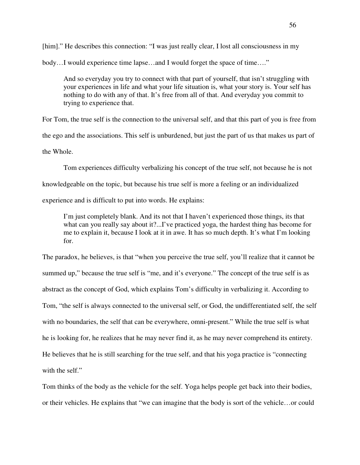[him]." He describes this connection: "I was just really clear, I lost all consciousness in my body…I would experience time lapse…and I would forget the space of time…."

And so everyday you try to connect with that part of yourself, that isn't struggling with your experiences in life and what your life situation is, what your story is. Your self has nothing to do with any of that. It's free from all of that. And everyday you commit to trying to experience that.

For Tom, the true self is the connection to the universal self, and that this part of you is free from the ego and the associations. This self is unburdened, but just the part of us that makes us part of the Whole.

Tom experiences difficulty verbalizing his concept of the true self, not because he is not knowledgeable on the topic, but because his true self is more a feeling or an individualized experience and is difficult to put into words. He explains:

I'm just completely blank. And its not that I haven't experienced those things, its that what can you really say about it?...I've practiced yoga, the hardest thing has become for me to explain it, because I look at it in awe. It has so much depth. It's what I'm looking for.

The paradox, he believes, is that "when you perceive the true self, you'll realize that it cannot be summed up," because the true self is "me, and it's everyone." The concept of the true self is as abstract as the concept of God, which explains Tom's difficulty in verbalizing it. According to Tom, "the self is always connected to the universal self, or God, the undifferentiated self, the self with no boundaries, the self that can be everywhere, omni-present." While the true self is what he is looking for, he realizes that he may never find it, as he may never comprehend its entirety. He believes that he is still searching for the true self, and that his yoga practice is "connecting with the self."

Tom thinks of the body as the vehicle for the self. Yoga helps people get back into their bodies, or their vehicles. He explains that "we can imagine that the body is sort of the vehicle…or could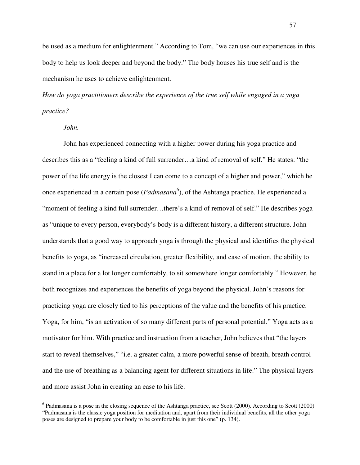be used as a medium for enlightenment." According to Tom, "we can use our experiences in this body to help us look deeper and beyond the body." The body houses his true self and is the mechanism he uses to achieve enlightenment.

*How do yoga practitioners describe the experience of the true self while engaged in a yoga practice?* 

*John.* 

 $\overline{a}$ 

John has experienced connecting with a higher power during his yoga practice and describes this as a "feeling a kind of full surrender…a kind of removal of self." He states: "the power of the life energy is the closest I can come to a concept of a higher and power," which he once experienced in a certain pose (*Padmasana<sup>6</sup>* ), of the Ashtanga practice. He experienced a "moment of feeling a kind full surrender…there's a kind of removal of self." He describes yoga as "unique to every person, everybody's body is a different history, a different structure. John understands that a good way to approach yoga is through the physical and identifies the physical benefits to yoga, as "increased circulation, greater flexibility, and ease of motion, the ability to stand in a place for a lot longer comfortably, to sit somewhere longer comfortably." However, he both recognizes and experiences the benefits of yoga beyond the physical. John's reasons for practicing yoga are closely tied to his perceptions of the value and the benefits of his practice. Yoga, for him, "is an activation of so many different parts of personal potential." Yoga acts as a motivator for him. With practice and instruction from a teacher, John believes that "the layers start to reveal themselves," "i.e. a greater calm, a more powerful sense of breath, breath control and the use of breathing as a balancing agent for different situations in life." The physical layers and more assist John in creating an ease to his life.

<sup>&</sup>lt;sup>6</sup> Padmasana is a pose in the closing sequence of the Ashtanga practice, see Scott (2000). According to Scott (2000) "Padmasana is the classic yoga position for meditation and, apart from their individual benefits, all the other yoga poses are designed to prepare your body to be comfortable in just this one" (p. 134).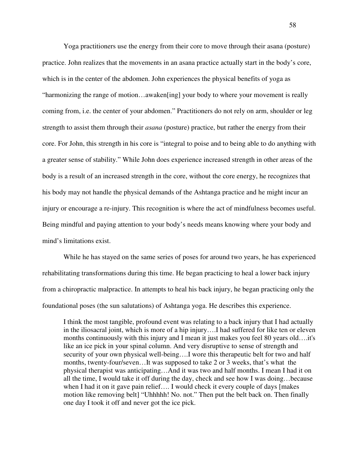Yoga practitioners use the energy from their core to move through their asana (posture) practice. John realizes that the movements in an asana practice actually start in the body's core, which is in the center of the abdomen. John experiences the physical benefits of yoga as "harmonizing the range of motion…awaken[ing] your body to where your movement is really coming from, i.e. the center of your abdomen." Practitioners do not rely on arm, shoulder or leg strength to assist them through their *asana* (posture) practice, but rather the energy from their core. For John, this strength in his core is "integral to poise and to being able to do anything with a greater sense of stability." While John does experience increased strength in other areas of the body is a result of an increased strength in the core, without the core energy, he recognizes that his body may not handle the physical demands of the Ashtanga practice and he might incur an injury or encourage a re-injury. This recognition is where the act of mindfulness becomes useful. Being mindful and paying attention to your body's needs means knowing where your body and mind's limitations exist.

While he has stayed on the same series of poses for around two years, he has experienced rehabilitating transformations during this time. He began practicing to heal a lower back injury from a chiropractic malpractice. In attempts to heal his back injury, he began practicing only the foundational poses (the sun salutations) of Ashtanga yoga. He describes this experience.

I think the most tangible, profound event was relating to a back injury that I had actually in the iliosacral joint, which is more of a hip injury….I had suffered for like ten or eleven months continuously with this injury and I mean it just makes you feel 80 years old….it's like an ice pick in your spinal column. And very disruptive to sense of strength and security of your own physical well-being….I wore this therapeutic belt for two and half months, twenty-four/seven…It was supposed to take 2 or 3 weeks, that's what the physical therapist was anticipating…And it was two and half months. I mean I had it on all the time, I would take it off during the day, check and see how I was doing…because when I had it on it gave pain relief…. I would check it every couple of days [makes motion like removing belt] "Uhhhhh! No. not." Then put the belt back on. Then finally one day I took it off and never got the ice pick.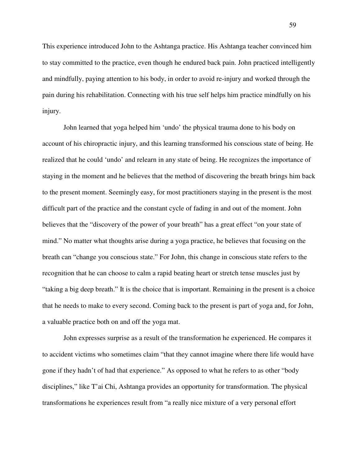This experience introduced John to the Ashtanga practice. His Ashtanga teacher convinced him to stay committed to the practice, even though he endured back pain. John practiced intelligently and mindfully, paying attention to his body, in order to avoid re-injury and worked through the pain during his rehabilitation. Connecting with his true self helps him practice mindfully on his injury.

John learned that yoga helped him 'undo' the physical trauma done to his body on account of his chiropractic injury, and this learning transformed his conscious state of being. He realized that he could 'undo' and relearn in any state of being. He recognizes the importance of staying in the moment and he believes that the method of discovering the breath brings him back to the present moment. Seemingly easy, for most practitioners staying in the present is the most difficult part of the practice and the constant cycle of fading in and out of the moment. John believes that the "discovery of the power of your breath" has a great effect "on your state of mind." No matter what thoughts arise during a yoga practice, he believes that focusing on the breath can "change you conscious state." For John, this change in conscious state refers to the recognition that he can choose to calm a rapid beating heart or stretch tense muscles just by "taking a big deep breath." It is the choice that is important. Remaining in the present is a choice that he needs to make to every second. Coming back to the present is part of yoga and, for John, a valuable practice both on and off the yoga mat.

John expresses surprise as a result of the transformation he experienced. He compares it to accident victims who sometimes claim "that they cannot imagine where there life would have gone if they hadn't of had that experience." As opposed to what he refers to as other "body disciplines," like T'ai Chi, Ashtanga provides an opportunity for transformation. The physical transformations he experiences result from "a really nice mixture of a very personal effort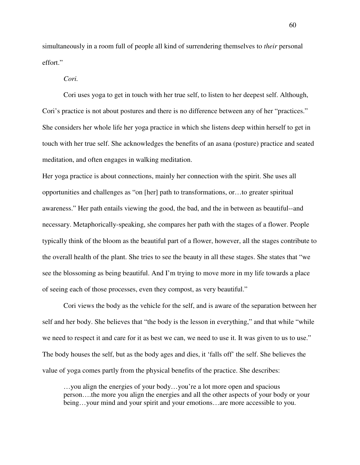simultaneously in a room full of people all kind of surrendering themselves to *their* personal effort."

*Cori.* 

Cori uses yoga to get in touch with her true self, to listen to her deepest self. Although, Cori's practice is not about postures and there is no difference between any of her "practices." She considers her whole life her yoga practice in which she listens deep within herself to get in touch with her true self. She acknowledges the benefits of an asana (posture) practice and seated meditation, and often engages in walking meditation.

Her yoga practice is about connections, mainly her connection with the spirit. She uses all opportunities and challenges as "on [her] path to transformations, or…to greater spiritual awareness." Her path entails viewing the good, the bad, and the in between as beautiful--and necessary. Metaphorically-speaking, she compares her path with the stages of a flower. People typically think of the bloom as the beautiful part of a flower, however, all the stages contribute to the overall health of the plant. She tries to see the beauty in all these stages. She states that "we see the blossoming as being beautiful. And I'm trying to move more in my life towards a place of seeing each of those processes, even they compost, as very beautiful."

Cori views the body as the vehicle for the self, and is aware of the separation between her self and her body. She believes that "the body is the lesson in everything," and that while "while we need to respect it and care for it as best we can, we need to use it. It was given to us to use." The body houses the self, but as the body ages and dies, it 'falls off' the self. She believes the value of yoga comes partly from the physical benefits of the practice. She describes:

…you align the energies of your body…you're a lot more open and spacious person….the more you align the energies and all the other aspects of your body or your being…your mind and your spirit and your emotions…are more accessible to you.

60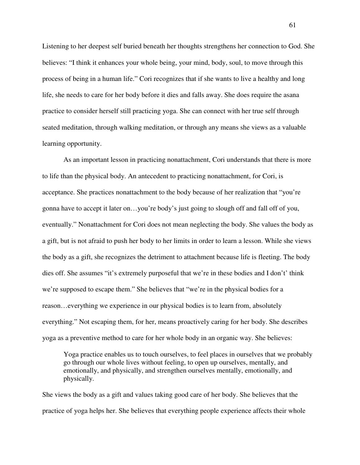Listening to her deepest self buried beneath her thoughts strengthens her connection to God. She believes: "I think it enhances your whole being, your mind, body, soul, to move through this process of being in a human life." Cori recognizes that if she wants to live a healthy and long life, she needs to care for her body before it dies and falls away. She does require the asana practice to consider herself still practicing yoga. She can connect with her true self through seated meditation, through walking meditation, or through any means she views as a valuable learning opportunity.

As an important lesson in practicing nonattachment, Cori understands that there is more to life than the physical body. An antecedent to practicing nonattachment, for Cori, is acceptance. She practices nonattachment to the body because of her realization that "you're gonna have to accept it later on…you're body's just going to slough off and fall off of you, eventually." Nonattachment for Cori does not mean neglecting the body. She values the body as a gift, but is not afraid to push her body to her limits in order to learn a lesson. While she views the body as a gift, she recognizes the detriment to attachment because life is fleeting. The body dies off. She assumes "it's extremely purposeful that we're in these bodies and I don't' think we're supposed to escape them." She believes that "we're in the physical bodies for a reason…everything we experience in our physical bodies is to learn from, absolutely everything." Not escaping them, for her, means proactively caring for her body. She describes yoga as a preventive method to care for her whole body in an organic way. She believes:

Yoga practice enables us to touch ourselves, to feel places in ourselves that we probably go through our whole lives without feeling, to open up ourselves, mentally, and emotionally, and physically, and strengthen ourselves mentally, emotionally, and physically.

She views the body as a gift and values taking good care of her body. She believes that the practice of yoga helps her. She believes that everything people experience affects their whole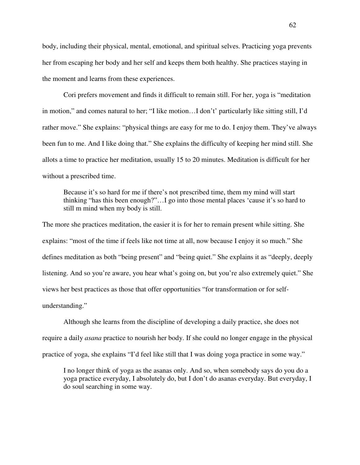body, including their physical, mental, emotional, and spiritual selves. Practicing yoga prevents her from escaping her body and her self and keeps them both healthy. She practices staying in the moment and learns from these experiences.

Cori prefers movement and finds it difficult to remain still. For her, yoga is "meditation in motion," and comes natural to her; "I like motion…I don't' particularly like sitting still, I'd rather move." She explains: "physical things are easy for me to do. I enjoy them. They've always been fun to me. And I like doing that." She explains the difficulty of keeping her mind still. She allots a time to practice her meditation, usually 15 to 20 minutes. Meditation is difficult for her without a prescribed time.

Because it's so hard for me if there's not prescribed time, them my mind will start thinking "has this been enough?"…I go into those mental places 'cause it's so hard to still m mind when my body is still.

The more she practices meditation, the easier it is for her to remain present while sitting. She explains: "most of the time if feels like not time at all, now because I enjoy it so much." She defines meditation as both "being present" and "being quiet." She explains it as "deeply, deeply listening. And so you're aware, you hear what's going on, but you're also extremely quiet." She views her best practices as those that offer opportunities "for transformation or for selfunderstanding."

Although she learns from the discipline of developing a daily practice, she does not require a daily *asana* practice to nourish her body. If she could no longer engage in the physical practice of yoga, she explains "I'd feel like still that I was doing yoga practice in some way."

I no longer think of yoga as the asanas only. And so, when somebody says do you do a yoga practice everyday, I absolutely do, but I don't do asanas everyday. But everyday, I do soul searching in some way.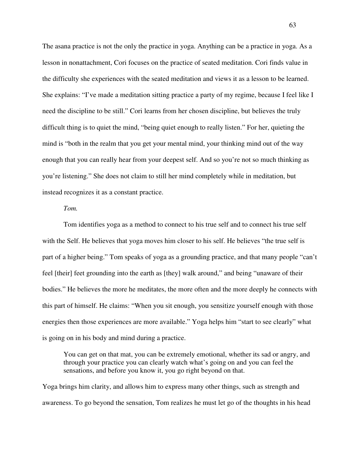The asana practice is not the only the practice in yoga. Anything can be a practice in yoga. As a lesson in nonattachment, Cori focuses on the practice of seated meditation. Cori finds value in the difficulty she experiences with the seated meditation and views it as a lesson to be learned. She explains: "I've made a meditation sitting practice a party of my regime, because I feel like I need the discipline to be still." Cori learns from her chosen discipline, but believes the truly difficult thing is to quiet the mind, "being quiet enough to really listen." For her, quieting the mind is "both in the realm that you get your mental mind, your thinking mind out of the way enough that you can really hear from your deepest self. And so you're not so much thinking as you're listening." She does not claim to still her mind completely while in meditation, but instead recognizes it as a constant practice.

# *Tom.*

Tom identifies yoga as a method to connect to his true self and to connect his true self with the Self. He believes that yoga moves him closer to his self. He believes "the true self is part of a higher being." Tom speaks of yoga as a grounding practice, and that many people "can't feel [their] feet grounding into the earth as [they] walk around," and being "unaware of their bodies." He believes the more he meditates, the more often and the more deeply he connects with this part of himself. He claims: "When you sit enough, you sensitize yourself enough with those energies then those experiences are more available." Yoga helps him "start to see clearly" what is going on in his body and mind during a practice.

You can get on that mat, you can be extremely emotional, whether its sad or angry, and through your practice you can clearly watch what's going on and you can feel the sensations, and before you know it, you go right beyond on that.

Yoga brings him clarity, and allows him to express many other things, such as strength and awareness. To go beyond the sensation, Tom realizes he must let go of the thoughts in his head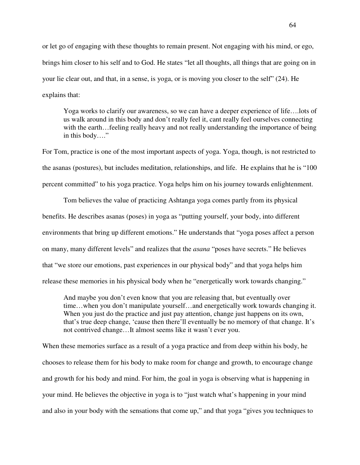or let go of engaging with these thoughts to remain present. Not engaging with his mind, or ego, brings him closer to his self and to God. He states "let all thoughts, all things that are going on in your lie clear out, and that, in a sense, is yoga, or is moving you closer to the self" (24). He explains that:

Yoga works to clarify our awareness, so we can have a deeper experience of life….lots of us walk around in this body and don't really feel it, cant really feel ourselves connecting with the earth…feeling really heavy and not really understanding the importance of being in this body…."

For Tom, practice is one of the most important aspects of yoga. Yoga, though, is not restricted to the asanas (postures), but includes meditation, relationships, and life. He explains that he is "100 percent committed" to his yoga practice. Yoga helps him on his journey towards enlightenment.

Tom believes the value of practicing Ashtanga yoga comes partly from its physical benefits. He describes asanas (poses) in yoga as "putting yourself, your body, into different environments that bring up different emotions." He understands that "yoga poses affect a person on many, many different levels" and realizes that the *asana* "poses have secrets." He believes that "we store our emotions, past experiences in our physical body" and that yoga helps him release these memories in his physical body when he "energetically work towards changing."

And maybe you don't even know that you are releasing that, but eventually over time…when you don't manipulate yourself…and energetically work towards changing it. When you just do the practice and just pay attention, change just happens on its own, that's true deep change, 'cause then there'll eventually be no memory of that change. It's not contrived change…It almost seems like it wasn't ever you.

When these memories surface as a result of a yoga practice and from deep within his body, he chooses to release them for his body to make room for change and growth, to encourage change and growth for his body and mind. For him, the goal in yoga is observing what is happening in your mind. He believes the objective in yoga is to "just watch what's happening in your mind and also in your body with the sensations that come up," and that yoga "gives you techniques to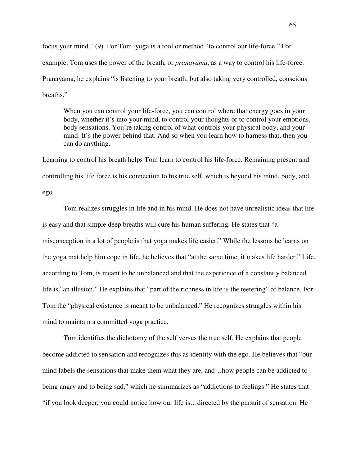focus your mind." (9). For Tom, yoga is a tool or method "to control our life-force." For example, Tom uses the power of the breath, or *pranayama*, as a way to control his life-force. Pranayama, he explains "is listening to your breath, but also taking very controlled, conscious breaths."

When you can control your life-force, you can control where that energy goes in your body, whether it's into your mind, to control your thoughts or to control your emotions, body sensations. You're taking control of what controls your physical body, and your mind. It's the power behind that. And so when you learn how to harness that, then you can do anything.

Learning to control his breath helps Tom learn to control his life-force. Remaining present and controlling his life force is his connection to his true self, which is beyond his mind, body, and ego.

Tom realizes struggles in life and in his mind. He does not have unrealistic ideas that life is easy and that simple deep breaths will cure his human suffering. He states that "a misconception in a lot of people is that yoga makes life easier." While the lessons he learns on the yoga mat help him cope in life, he believes that "at the same time, it makes life harder." Life, according to Tom, is meant to be unbalanced and that the experience of a constantly balanced life is "an illusion." He explains that "part of the richness in life is the teetering" of balance. For Tom the "physical existence is meant to be unbalanced." He recognizes struggles within his mind to maintain a committed yoga practice.

Tom identifies the dichotomy of the self versus the true self. He explains that people become addicted to sensation and recognizes this as identity with the ego. He believes that "our mind labels the sensations that make them what they are, and…how people can be addicted to being angry and to being sad," which he summarizes as "addictions to feelings." He states that "if you look deeper, you could notice how our life is…directed by the pursuit of sensation. He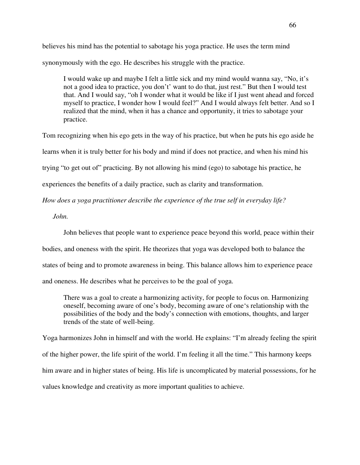believes his mind has the potential to sabotage his yoga practice. He uses the term mind synonymously with the ego. He describes his struggle with the practice.

I would wake up and maybe I felt a little sick and my mind would wanna say, "No, it's not a good idea to practice, you don't' want to do that, just rest." But then I would test that. And I would say, "oh I wonder what it would be like if I just went ahead and forced myself to practice, I wonder how I would feel?" And I would always felt better. And so I realized that the mind, when it has a chance and opportunity, it tries to sabotage your practice.

Tom recognizing when his ego gets in the way of his practice, but when he puts his ego aside he

learns when it is truly better for his body and mind if does not practice, and when his mind his

trying "to get out of" practicing. By not allowing his mind (ego) to sabotage his practice, he

experiences the benefits of a daily practice, such as clarity and transformation.

*How does a yoga practitioner describe the experience of the true self in everyday life?*

*John.* 

John believes that people want to experience peace beyond this world, peace within their

bodies, and oneness with the spirit. He theorizes that yoga was developed both to balance the

states of being and to promote awareness in being. This balance allows him to experience peace

and oneness. He describes what he perceives to be the goal of yoga.

There was a goal to create a harmonizing activity, for people to focus on. Harmonizing oneself, becoming aware of one's body, becoming aware of one's relationship with the possibilities of the body and the body's connection with emotions, thoughts, and larger trends of the state of well-being.

Yoga harmonizes John in himself and with the world. He explains: "I'm already feeling the spirit of the higher power, the life spirit of the world. I'm feeling it all the time." This harmony keeps him aware and in higher states of being. His life is uncomplicated by material possessions, for he values knowledge and creativity as more important qualities to achieve.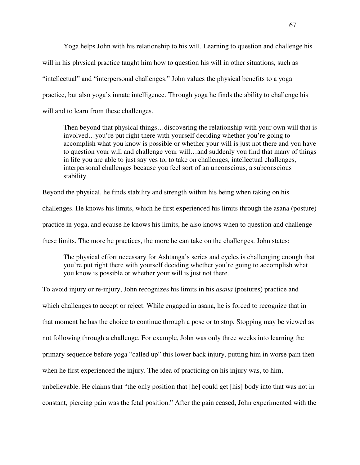Yoga helps John with his relationship to his will. Learning to question and challenge his will in his physical practice taught him how to question his will in other situations, such as "intellectual" and "interpersonal challenges." John values the physical benefits to a yoga practice, but also yoga's innate intelligence. Through yoga he finds the ability to challenge his will and to learn from these challenges.

Then beyond that physical things…discovering the relationship with your own will that is involved…you're put right there with yourself deciding whether you're going to accomplish what you know is possible or whether your will is just not there and you have to question your will and challenge your will…and suddenly you find that many of things in life you are able to just say yes to, to take on challenges, intellectual challenges, interpersonal challenges because you feel sort of an unconscious, a subconscious stability.

Beyond the physical, he finds stability and strength within his being when taking on his challenges. He knows his limits, which he first experienced his limits through the asana (posture) practice in yoga, and ecause he knows his limits, he also knows when to question and challenge these limits. The more he practices, the more he can take on the challenges. John states:

The physical effort necessary for Ashtanga's series and cycles is challenging enough that you're put right there with yourself deciding whether you're going to accomplish what you know is possible or whether your will is just not there.

To avoid injury or re-injury, John recognizes his limits in his *asana* (postures) practice and which challenges to accept or reject. While engaged in asana, he is forced to recognize that in that moment he has the choice to continue through a pose or to stop. Stopping may be viewed as not following through a challenge. For example, John was only three weeks into learning the primary sequence before yoga "called up" this lower back injury, putting him in worse pain then when he first experienced the injury. The idea of practicing on his injury was, to him, unbelievable. He claims that "the only position that [he] could get [his] body into that was not in constant, piercing pain was the fetal position." After the pain ceased, John experimented with the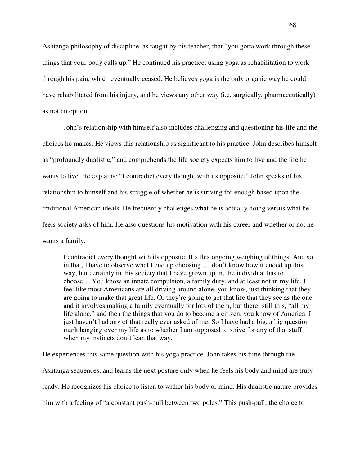Ashtanga philosophy of discipline, as taught by his teacher, that "you gotta work through these things that your body calls up." He continued his practice, using yoga as rehabilitation to work through his pain, which eventually ceased. He believes yoga is the only organic way he could have rehabilitated from his injury, and he views any other way (i.e. surgically, pharmaceutically) as not an option.

John's relationship with himself also includes challenging and questioning his life and the choices he makes. He views this relationship as significant to his practice. John describes himself as "profoundly dualistic," and comprehends the life society expects him to live and the life he wants to live. He explains: "I contradict every thought with its opposite." John speaks of his relationship to himself and his struggle of whether he is striving for enough based upon the traditional American ideals. He frequently challenges what he is actually doing versus what he feels society asks of him. He also questions his motivation with his career and whether or not he wants a family.

I contradict every thought with its opposite. It's this ongoing weighing of things. And so in that, I have to observe what I end up choosing…I don't know how it ended up this way, but certainly in this society that I have grown up in, the individual has to choose….You know an innate compulsion, a family duty, and at least not in my life. I feel like most Americans are all driving around alone, you know, just thinking that they are going to make that great life. Or they're going to get that life that they see as the one and it involves making a family eventually for lots of them, but there' still this, "all my life alone," and then the things that you do to become a citizen, you know of America. I just haven't had any of that really ever asked of me. So I have had a big, a big question mark hanging over my life as to whether I am supposed to strive for any of that stuff when my instincts don't lean that way.

He experiences this same question with his yoga practice. John takes his time through the Ashtanga sequences, and learns the next posture only when he feels his body and mind are truly ready. He recognizes his choice to listen to wither his body or mind. His dualistic nature provides him with a feeling of "a constant push-pull between two poles." This push-pull, the choice to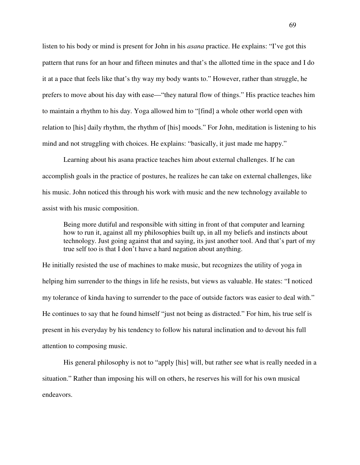listen to his body or mind is present for John in his *asana* practice. He explains: "I've got this pattern that runs for an hour and fifteen minutes and that's the allotted time in the space and I do it at a pace that feels like that's thy way my body wants to." However, rather than struggle, he prefers to move about his day with ease—"they natural flow of things." His practice teaches him to maintain a rhythm to his day. Yoga allowed him to "[find] a whole other world open with relation to [his] daily rhythm, the rhythm of [his] moods." For John, meditation is listening to his mind and not struggling with choices. He explains: "basically, it just made me happy."

Learning about his asana practice teaches him about external challenges. If he can accomplish goals in the practice of postures, he realizes he can take on external challenges, like his music. John noticed this through his work with music and the new technology available to assist with his music composition.

Being more dutiful and responsible with sitting in front of that computer and learning how to run it, against all my philosophies built up, in all my beliefs and instincts about technology. Just going against that and saying, its just another tool. And that's part of my true self too is that I don't have a hard negation about anything.

He initially resisted the use of machines to make music, but recognizes the utility of yoga in helping him surrender to the things in life he resists, but views as valuable. He states: "I noticed my tolerance of kinda having to surrender to the pace of outside factors was easier to deal with." He continues to say that he found himself "just not being as distracted." For him, his true self is present in his everyday by his tendency to follow his natural inclination and to devout his full attention to composing music.

His general philosophy is not to "apply [his] will, but rather see what is really needed in a situation." Rather than imposing his will on others, he reserves his will for his own musical endeavors.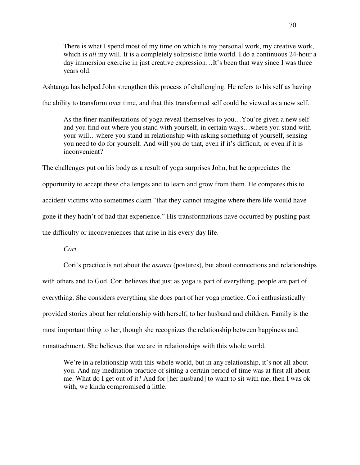There is what I spend most of my time on which is my personal work, my creative work, which is *all* my will. It is a completely solipsistic little world. I do a continuous 24-hour a day immersion exercise in just creative expression…It's been that way since I was three years old.

Ashtanga has helped John strengthen this process of challenging. He refers to his self as having

the ability to transform over time, and that this transformed self could be viewed as a new self.

As the finer manifestations of yoga reveal themselves to you…You're given a new self and you find out where you stand with yourself, in certain ways…where you stand with your will…where you stand in relationship with asking something of yourself, sensing you need to do for yourself. And will you do that, even if it's difficult, or even if it is inconvenient?

The challenges put on his body as a result of yoga surprises John, but he appreciates the opportunity to accept these challenges and to learn and grow from them. He compares this to accident victims who sometimes claim "that they cannot imagine where there life would have gone if they hadn't of had that experience." His transformations have occurred by pushing past the difficulty or inconveniences that arise in his every day life.

*Cori.* 

Cori's practice is not about the *asanas* (postures), but about connections and relationships with others and to God. Cori believes that just as yoga is part of everything, people are part of everything. She considers everything she does part of her yoga practice. Cori enthusiastically provided stories about her relationship with herself, to her husband and children. Family is the most important thing to her, though she recognizes the relationship between happiness and nonattachment. She believes that we are in relationships with this whole world.

We're in a relationship with this whole world, but in any relationship, it's not all about you. And my meditation practice of sitting a certain period of time was at first all about me. What do I get out of it? And for [her husband] to want to sit with me, then I was ok with, we kinda compromised a little.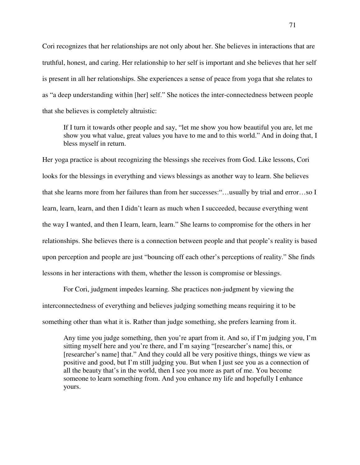Cori recognizes that her relationships are not only about her. She believes in interactions that are truthful, honest, and caring. Her relationship to her self is important and she believes that her self is present in all her relationships. She experiences a sense of peace from yoga that she relates to as "a deep understanding within [her] self." She notices the inter-connectedness between people that she believes is completely altruistic:

If I turn it towards other people and say, "let me show you how beautiful you are, let me show you what value, great values you have to me and to this world." And in doing that, I bless myself in return.

Her yoga practice is about recognizing the blessings she receives from God. Like lessons, Cori looks for the blessings in everything and views blessings as another way to learn. She believes that she learns more from her failures than from her successes:"…usually by trial and error…so I learn, learn, learn, and then I didn't learn as much when I succeeded, because everything went the way I wanted, and then I learn, learn, learn." She learns to compromise for the others in her relationships. She believes there is a connection between people and that people's reality is based upon perception and people are just "bouncing off each other's perceptions of reality." She finds lessons in her interactions with them, whether the lesson is compromise or blessings.

For Cori, judgment impedes learning. She practices non-judgment by viewing the interconnectedness of everything and believes judging something means requiring it to be something other than what it is. Rather than judge something, she prefers learning from it.

Any time you judge something, then you're apart from it. And so, if I'm judging you, I'm sitting myself here and you're there, and I'm saying "[researcher's name] this, or [researcher's name] that." And they could all be very positive things, things we view as positive and good, but I'm still judging you. But when I just see you as a connection of all the beauty that's in the world, then I see you more as part of me. You become someone to learn something from. And you enhance my life and hopefully I enhance yours.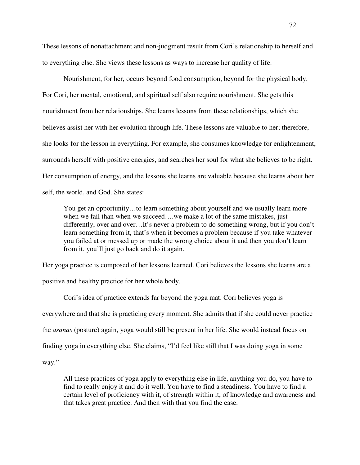These lessons of nonattachment and non-judgment result from Cori's relationship to herself and to everything else. She views these lessons as ways to increase her quality of life.

Nourishment, for her, occurs beyond food consumption, beyond for the physical body. For Cori, her mental, emotional, and spiritual self also require nourishment. She gets this nourishment from her relationships. She learns lessons from these relationships, which she believes assist her with her evolution through life. These lessons are valuable to her; therefore, she looks for the lesson in everything. For example, she consumes knowledge for enlightenment, surrounds herself with positive energies, and searches her soul for what she believes to be right. Her consumption of energy, and the lessons she learns are valuable because she learns about her self, the world, and God. She states:

You get an opportunity…to learn something about yourself and we usually learn more when we fail than when we succeed....we make a lot of the same mistakes, just differently, over and over…It's never a problem to do something wrong, but if you don't learn something from it, that's when it becomes a problem because if you take whatever you failed at or messed up or made the wrong choice about it and then you don't learn from it, you'll just go back and do it again.

Her yoga practice is composed of her lessons learned. Cori believes the lessons she learns are a positive and healthy practice for her whole body.

Cori's idea of practice extends far beyond the yoga mat. Cori believes yoga is everywhere and that she is practicing every moment. She admits that if she could never practice the *asanas* (posture) again, yoga would still be present in her life. She would instead focus on finding yoga in everything else. She claims, "I'd feel like still that I was doing yoga in some way."

All these practices of yoga apply to everything else in life, anything you do, you have to find to really enjoy it and do it well. You have to find a steadiness. You have to find a certain level of proficiency with it, of strength within it, of knowledge and awareness and that takes great practice. And then with that you find the ease.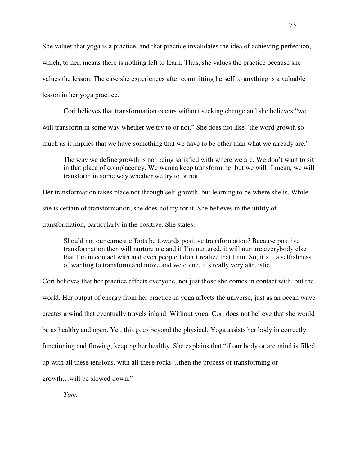She values that yoga is a practice, and that practice invalidates the idea of achieving perfection, which, to her, means there is nothing left to learn. Thus, she values the practice because she values the lesson. The ease she experiences after committing herself to anything is a valuable

lesson in her yoga practice.

Cori believes that transformation occurs without seeking change and she believes "we will transform in some way whether we try to or not." She does not like "the word growth so much as it implies that we have something that we have to be other than what we already are."

The way we define growth is not being satisfied with where we are. We don't want to sit in that place of complacency. We wanna keep transforming, but we will! I mean, we will transform in some way whether we try to or not.

Her transformation takes place not through self-growth, but learning to be where she is. While she is certain of transformation, she does not try for it. She believes in the utility of transformation, particularly in the positive. She states:

Should not our earnest efforts be towards positive transformation? Because positive transformation then will nurture me and if I'm nurtured, it will nurture everybody else that I'm in contact with and even people I don't realize that I am. So, it's…a selfishness of wanting to transform and move and we come, it's really very altruistic.

Cori believes that her practice affects everyone, not just those she comes in contact with, but the world. Her output of energy from her practice in yoga affects the universe, just as an ocean wave creates a wind that eventually travels inland. Without yoga, Cori does not believe that she would be as healthy and open. Yet, this goes beyond the physical. Yoga assists her body in correctly functioning and flowing, keeping her healthy. She explains that "if our body or are mind is filled up with all these tensions, with all these rocks…then the process of transforming or growth…will be slowed down."

*Tom.*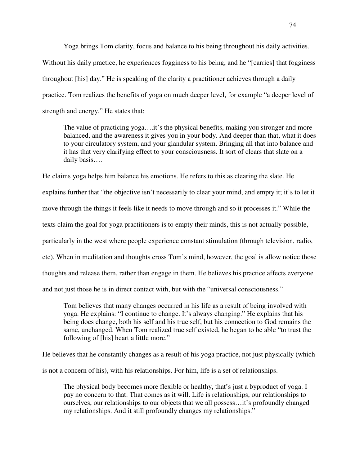Yoga brings Tom clarity, focus and balance to his being throughout his daily activities.

Without his daily practice, he experiences fogginess to his being, and he "[carries] that fogginess throughout [his] day." He is speaking of the clarity a practitioner achieves through a daily practice. Tom realizes the benefits of yoga on much deeper level, for example "a deeper level of strength and energy." He states that:

The value of practicing yoga....it's the physical benefits, making you stronger and more balanced, and the awareness it gives you in your body. And deeper than that, what it does to your circulatory system, and your glandular system. Bringing all that into balance and it has that very clarifying effect to your consciousness. It sort of clears that slate on a daily basis….

He claims yoga helps him balance his emotions. He refers to this as clearing the slate. He explains further that "the objective isn't necessarily to clear your mind, and empty it; it's to let it move through the things it feels like it needs to move through and so it processes it." While the texts claim the goal for yoga practitioners is to empty their minds, this is not actually possible, particularly in the west where people experience constant stimulation (through television, radio, etc). When in meditation and thoughts cross Tom's mind, however, the goal is allow notice those thoughts and release them, rather than engage in them. He believes his practice affects everyone and not just those he is in direct contact with, but with the "universal consciousness."

Tom believes that many changes occurred in his life as a result of being involved with yoga. He explains: "I continue to change. It's always changing." He explains that his being does change, both his self and his true self, but his connection to God remains the same, unchanged. When Tom realized true self existed, he began to be able "to trust the following of [his] heart a little more."

He believes that he constantly changes as a result of his yoga practice, not just physically (which is not a concern of his), with his relationships. For him, life is a set of relationships.

The physical body becomes more flexible or healthy, that's just a byproduct of yoga. I pay no concern to that. That comes as it will. Life is relationships, our relationships to ourselves, our relationships to our objects that we all possess…it's profoundly changed my relationships. And it still profoundly changes my relationships."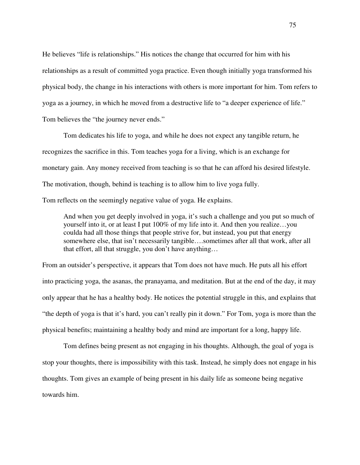He believes "life is relationships." His notices the change that occurred for him with his relationships as a result of committed yoga practice. Even though initially yoga transformed his physical body, the change in his interactions with others is more important for him. Tom refers to yoga as a journey, in which he moved from a destructive life to "a deeper experience of life." Tom believes the "the journey never ends."

 Tom dedicates his life to yoga, and while he does not expect any tangible return, he recognizes the sacrifice in this. Tom teaches yoga for a living, which is an exchange for monetary gain. Any money received from teaching is so that he can afford his desired lifestyle. The motivation, though, behind is teaching is to allow him to live yoga fully.

Tom reflects on the seemingly negative value of yoga. He explains.

And when you get deeply involved in yoga, it's such a challenge and you put so much of yourself into it, or at least I put 100% of my life into it. And then you realize…you coulda had all those things that people strive for, but instead, you put that energy somewhere else, that isn't necessarily tangible….sometimes after all that work, after all that effort, all that struggle, you don't have anything…

From an outsider's perspective, it appears that Tom does not have much. He puts all his effort into practicing yoga, the asanas, the pranayama, and meditation. But at the end of the day, it may only appear that he has a healthy body. He notices the potential struggle in this, and explains that "the depth of yoga is that it's hard, you can't really pin it down." For Tom, yoga is more than the physical benefits; maintaining a healthy body and mind are important for a long, happy life.

Tom defines being present as not engaging in his thoughts. Although, the goal of yoga is stop your thoughts, there is impossibility with this task. Instead, he simply does not engage in his thoughts. Tom gives an example of being present in his daily life as someone being negative towards him.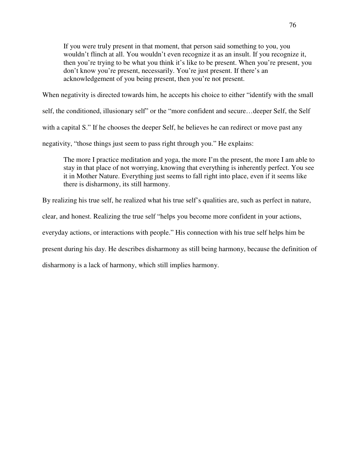If you were truly present in that moment, that person said something to you, you wouldn't flinch at all. You wouldn't even recognize it as an insult. If you recognize it, then you're trying to be what you think it's like to be present. When you're present, you don't know you're present, necessarily. You're just present. If there's an acknowledgement of you being present, then you're not present.

When negativity is directed towards him, he accepts his choice to either "identify with the small

self, the conditioned, illusionary self" or the "more confident and secure…deeper Self, the Self

with a capital S." If he chooses the deeper Self, he believes he can redirect or move past any

negativity, "those things just seem to pass right through you." He explains:

The more I practice meditation and yoga, the more I'm the present, the more I am able to stay in that place of not worrying, knowing that everything is inherently perfect. You see it in Mother Nature. Everything just seems to fall right into place, even if it seems like there is disharmony, its still harmony.

By realizing his true self, he realized what his true self's qualities are, such as perfect in nature,

clear, and honest. Realizing the true self "helps you become more confident in your actions,

everyday actions, or interactions with people." His connection with his true self helps him be

present during his day. He describes disharmony as still being harmony, because the definition of

disharmony is a lack of harmony, which still implies harmony.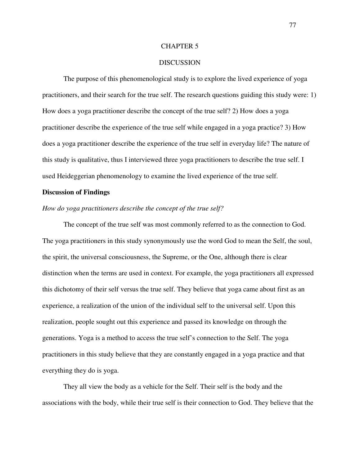# CHAPTER 5

# **DISCUSSION**

 The purpose of this phenomenological study is to explore the lived experience of yoga practitioners, and their search for the true self. The research questions guiding this study were: 1) How does a yoga practitioner describe the concept of the true self? 2) How does a yoga practitioner describe the experience of the true self while engaged in a yoga practice? 3) How does a yoga practitioner describe the experience of the true self in everyday life? The nature of this study is qualitative, thus I interviewed three yoga practitioners to describe the true self. I used Heideggerian phenomenology to examine the lived experience of the true self.

### **Discussion of Findings**

## *How do yoga practitioners describe the concept of the true self?*

The concept of the true self was most commonly referred to as the connection to God. The yoga practitioners in this study synonymously use the word God to mean the Self, the soul, the spirit, the universal consciousness, the Supreme, or the One, although there is clear distinction when the terms are used in context. For example, the yoga practitioners all expressed this dichotomy of their self versus the true self. They believe that yoga came about first as an experience, a realization of the union of the individual self to the universal self. Upon this realization, people sought out this experience and passed its knowledge on through the generations. Yoga is a method to access the true self's connection to the Self. The yoga practitioners in this study believe that they are constantly engaged in a yoga practice and that everything they do is yoga.

They all view the body as a vehicle for the Self. Their self is the body and the associations with the body, while their true self is their connection to God. They believe that the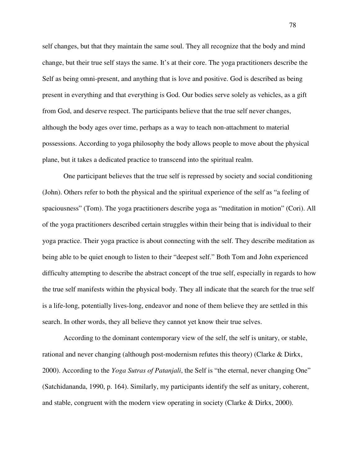self changes, but that they maintain the same soul. They all recognize that the body and mind change, but their true self stays the same. It's at their core. The yoga practitioners describe the Self as being omni-present, and anything that is love and positive. God is described as being present in everything and that everything is God. Our bodies serve solely as vehicles, as a gift from God, and deserve respect. The participants believe that the true self never changes, although the body ages over time, perhaps as a way to teach non-attachment to material possessions. According to yoga philosophy the body allows people to move about the physical plane, but it takes a dedicated practice to transcend into the spiritual realm.

One participant believes that the true self is repressed by society and social conditioning (John). Others refer to both the physical and the spiritual experience of the self as "a feeling of spaciousness" (Tom). The yoga practitioners describe yoga as "meditation in motion" (Cori). All of the yoga practitioners described certain struggles within their being that is individual to their yoga practice. Their yoga practice is about connecting with the self. They describe meditation as being able to be quiet enough to listen to their "deepest self." Both Tom and John experienced difficulty attempting to describe the abstract concept of the true self, especially in regards to how the true self manifests within the physical body. They all indicate that the search for the true self is a life-long, potentially lives-long, endeavor and none of them believe they are settled in this search. In other words, they all believe they cannot yet know their true selves.

According to the dominant contemporary view of the self, the self is unitary, or stable, rational and never changing (although post-modernism refutes this theory) (Clarke & Dirkx, 2000). According to the *Yoga Sutras of Patanjali*, the Self is "the eternal, never changing One" (Satchidananda, 1990, p. 164). Similarly, my participants identify the self as unitary, coherent, and stable, congruent with the modern view operating in society (Clarke  $\&$  Dirkx, 2000).

78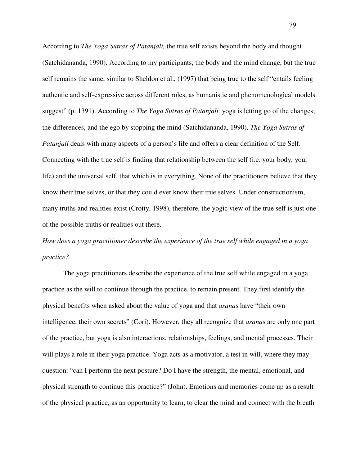According to *The Yoga Sutras of Patanjali,* the true self exists beyond the body and thought (Satchidananda, 1990). According to my participants, the body and the mind change, but the true self remains the same, similar to Sheldon et al., (1997) that being true to the self "entails feeling authentic and self-expressive across different roles, as humanistic and phenomenological models suggest" (p. 1391). According to *The Yoga Sutras of Patanjali,* yoga is letting go of the changes, the differences, and the ego by stopping the mind (Satchidananda, 1990). *The Yoga Sutras of Patanjali* deals with many aspects of a person's life and offers a clear definition of the Self. Connecting with the true self is finding that relationship between the self (i.e. your body, your life) and the universal self, that which is in everything. None of the practitioners believe that they know their true selves, or that they could ever know their true selves. Under constructionism, many truths and realities exist (Crotty, 1998), therefore, the yogic view of the true self is just one of the possible truths or realities out there.

*How does a yoga practitioner describe the experience of the true self while engaged in a yoga practice?* 

The yoga practitioners describe the experience of the true self while engaged in a yoga practice as the will to continue through the practice, to remain present. They first identify the physical benefits when asked about the value of yoga and that *asana*s have "their own intelligence, their own secrets" (Cori). However, they all recognize that *asana*s are only one part of the practice, but yoga is also interactions, relationships, feelings, and mental processes. Their will plays a role in their yoga practice. Yoga acts as a motivator, a test in will, where they may question: "can I perform the next posture? Do I have the strength, the mental, emotional, and physical strength to continue this practice?" (John). Emotions and memories come up as a result of the physical practice, as an opportunity to learn, to clear the mind and connect with the breath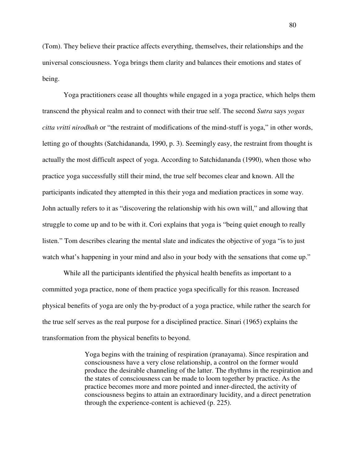(Tom). They believe their practice affects everything, themselves, their relationships and the universal consciousness. Yoga brings them clarity and balances their emotions and states of being.

Yoga practitioners cease all thoughts while engaged in a yoga practice, which helps them transcend the physical realm and to connect with their true self. The second *Sutra* says *yogas citta vritti nirodhah* or "the restraint of modifications of the mind-stuff is yoga," in other words, letting go of thoughts (Satchidananda, 1990, p. 3). Seemingly easy, the restraint from thought is actually the most difficult aspect of yoga. According to Satchidananda (1990), when those who practice yoga successfully still their mind, the true self becomes clear and known. All the participants indicated they attempted in this their yoga and mediation practices in some way. John actually refers to it as "discovering the relationship with his own will," and allowing that struggle to come up and to be with it. Cori explains that yoga is "being quiet enough to really listen." Tom describes clearing the mental slate and indicates the objective of yoga "is to just watch what's happening in your mind and also in your body with the sensations that come up."

While all the participants identified the physical health benefits as important to a committed yoga practice, none of them practice yoga specifically for this reason. Increased physical benefits of yoga are only the by-product of a yoga practice, while rather the search for the true self serves as the real purpose for a disciplined practice. Sinari (1965) explains the transformation from the physical benefits to beyond.

> Yoga begins with the training of respiration (pranayama). Since respiration and consciousness have a very close relationship, a control on the former would produce the desirable channeling of the latter. The rhythms in the respiration and the states of consciousness can be made to loom together by practice. As the practice becomes more and more pointed and inner-directed, the activity of consciousness begins to attain an extraordinary lucidity, and a direct penetration through the experience-content is achieved (p. 225).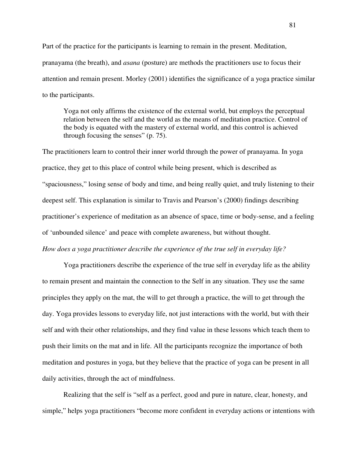Part of the practice for the participants is learning to remain in the present. Meditation, pranayama (the breath), and *asana* (posture) are methods the practitioners use to focus their attention and remain present. Morley (2001) identifies the significance of a yoga practice similar to the participants.

Yoga not only affirms the existence of the external world, but employs the perceptual relation between the self and the world as the means of meditation practice. Control of the body is equated with the mastery of external world, and this control is achieved through focusing the senses" (p. 75).

The practitioners learn to control their inner world through the power of pranayama. In yoga practice, they get to this place of control while being present, which is described as "spaciousness," losing sense of body and time, and being really quiet, and truly listening to their deepest self. This explanation is similar to Travis and Pearson's (2000) findings describing practitioner's experience of meditation as an absence of space, time or body-sense, and a feeling of 'unbounded silence' and peace with complete awareness, but without thought. *How does a yoga practitioner describe the experience of the true self in everyday life?* 

Yoga practitioners describe the experience of the true self in everyday life as the ability to remain present and maintain the connection to the Self in any situation. They use the same principles they apply on the mat, the will to get through a practice, the will to get through the day. Yoga provides lessons to everyday life, not just interactions with the world, but with their self and with their other relationships, and they find value in these lessons which teach them to push their limits on the mat and in life. All the participants recognize the importance of both meditation and postures in yoga, but they believe that the practice of yoga can be present in all daily activities, through the act of mindfulness.

Realizing that the self is "self as a perfect, good and pure in nature, clear, honesty, and simple," helps yoga practitioners "become more confident in everyday actions or intentions with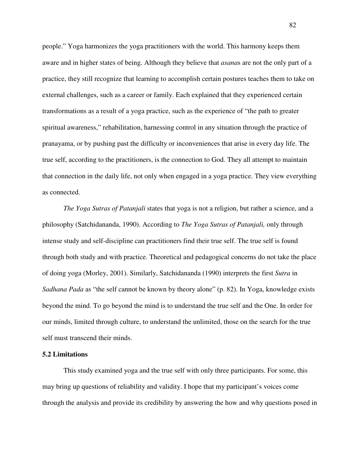people." Yoga harmonizes the yoga practitioners with the world. This harmony keeps them aware and in higher states of being. Although they believe that *asana*s are not the only part of a practice, they still recognize that learning to accomplish certain postures teaches them to take on external challenges, such as a career or family. Each explained that they experienced certain transformations as a result of a yoga practice, such as the experience of "the path to greater spiritual awareness," rehabilitation, harnessing control in any situation through the practice of pranayama, or by pushing past the difficulty or inconveniences that arise in every day life. The true self, according to the practitioners, is the connection to God. They all attempt to maintain that connection in the daily life, not only when engaged in a yoga practice. They view everything as connected.

*The Yoga Sutras of Patanjali* states that yoga is not a religion, but rather a science, and a philosophy (Satchidananda, 1990). According to *The Yoga Sutras of Patanjali,* only through intense study and self-discipline can practitioners find their true self. The true self is found through both study and with practice. Theoretical and pedagogical concerns do not take the place of doing yoga (Morley, 2001). Similarly, Satchidananda (1990) interprets the first *Sutra* in *Sadhana Pada* as "the self cannot be known by theory alone" (p. 82). In Yoga, knowledge exists beyond the mind. To go beyond the mind is to understand the true self and the One. In order for our minds, limited through culture, to understand the unlimited, those on the search for the true self must transcend their minds.

# **5.2 Limitations**

This study examined yoga and the true self with only three participants. For some, this may bring up questions of reliability and validity. I hope that my participant's voices come through the analysis and provide its credibility by answering the how and why questions posed in

82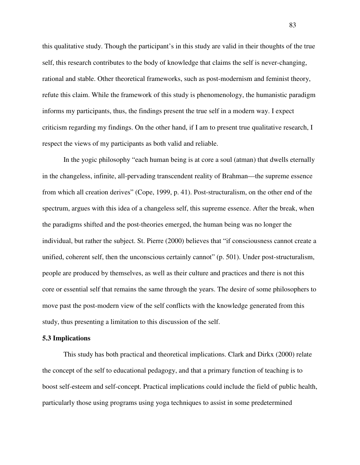this qualitative study. Though the participant's in this study are valid in their thoughts of the true self, this research contributes to the body of knowledge that claims the self is never-changing, rational and stable. Other theoretical frameworks, such as post-modernism and feminist theory, refute this claim. While the framework of this study is phenomenology, the humanistic paradigm informs my participants, thus, the findings present the true self in a modern way. I expect criticism regarding my findings. On the other hand, if I am to present true qualitative research, I respect the views of my participants as both valid and reliable.

In the yogic philosophy "each human being is at core a soul (atman) that dwells eternally in the changeless, infinite, all-pervading transcendent reality of Brahman—the supreme essence from which all creation derives" (Cope, 1999, p. 41). Post-structuralism, on the other end of the spectrum, argues with this idea of a changeless self, this supreme essence. After the break, when the paradigms shifted and the post-theories emerged, the human being was no longer the individual, but rather the subject. St. Pierre (2000) believes that "if consciousness cannot create a unified, coherent self, then the unconscious certainly cannot" (p. 501). Under post-structuralism, people are produced by themselves, as well as their culture and practices and there is not this core or essential self that remains the same through the years. The desire of some philosophers to move past the post-modern view of the self conflicts with the knowledge generated from this study, thus presenting a limitation to this discussion of the self.

#### **5.3 Implications**

This study has both practical and theoretical implications. Clark and Dirkx (2000) relate the concept of the self to educational pedagogy, and that a primary function of teaching is to boost self-esteem and self-concept. Practical implications could include the field of public health, particularly those using programs using yoga techniques to assist in some predetermined

83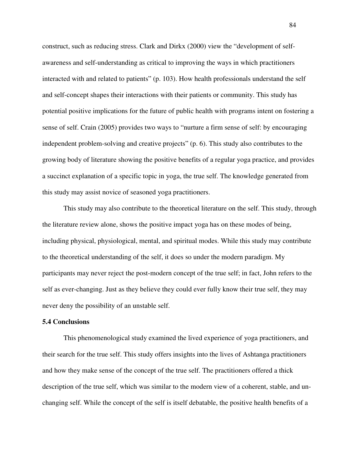construct, such as reducing stress. Clark and Dirkx (2000) view the "development of selfawareness and self-understanding as critical to improving the ways in which practitioners interacted with and related to patients" (p. 103). How health professionals understand the self and self-concept shapes their interactions with their patients or community. This study has potential positive implications for the future of public health with programs intent on fostering a sense of self. Crain (2005) provides two ways to "nurture a firm sense of self: by encouraging independent problem-solving and creative projects" (p. 6). This study also contributes to the growing body of literature showing the positive benefits of a regular yoga practice, and provides a succinct explanation of a specific topic in yoga, the true self. The knowledge generated from this study may assist novice of seasoned yoga practitioners.

This study may also contribute to the theoretical literature on the self. This study, through the literature review alone, shows the positive impact yoga has on these modes of being, including physical, physiological, mental, and spiritual modes. While this study may contribute to the theoretical understanding of the self, it does so under the modern paradigm. My participants may never reject the post-modern concept of the true self; in fact, John refers to the self as ever-changing. Just as they believe they could ever fully know their true self, they may never deny the possibility of an unstable self.

# **5.4 Conclusions**

This phenomenological study examined the lived experience of yoga practitioners, and their search for the true self. This study offers insights into the lives of Ashtanga practitioners and how they make sense of the concept of the true self. The practitioners offered a thick description of the true self, which was similar to the modern view of a coherent, stable, and unchanging self. While the concept of the self is itself debatable, the positive health benefits of a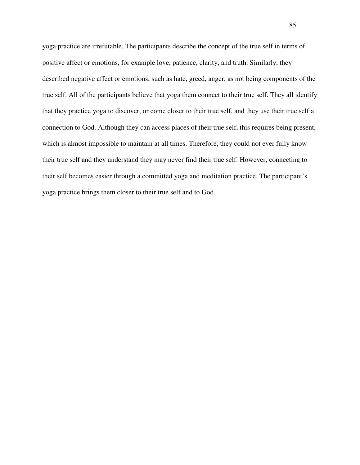yoga practice are irrefutable. The participants describe the concept of the true self in terms of positive affect or emotions, for example love, patience, clarity, and truth. Similarly, they described negative affect or emotions, such as hate, greed, anger, as not being components of the true self. All of the participants believe that yoga them connect to their true self. They all identify that they practice yoga to discover, or come closer to their true self, and they use their true self a connection to God. Although they can access places of their true self, this requires being present, which is almost impossible to maintain at all times. Therefore, they could not ever fully know their true self and they understand they may never find their true self. However, connecting to their self becomes easier through a committed yoga and meditation practice. The participant's yoga practice brings them closer to their true self and to God.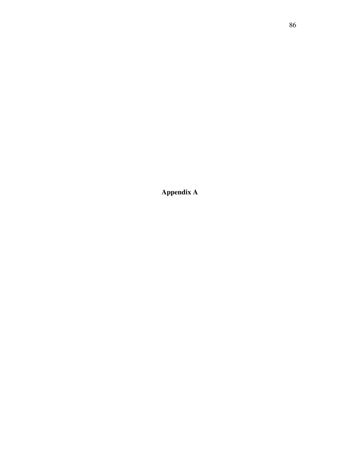**Appendix A**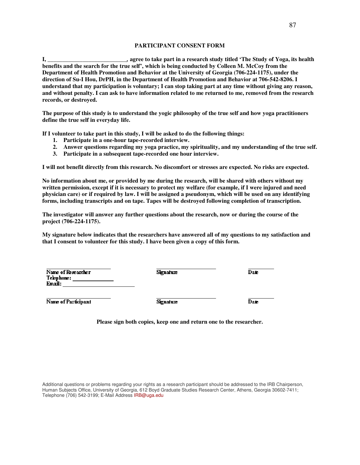#### **PARTICIPANT CONSENT FORM**

**I, \_\_\_\_\_\_\_\_\_\_\_\_\_\_\_\_\_\_\_\_\_\_\_\_\_\_***\_,* **agree to take part in a research study titled 'The Study of Yoga, its health benefits and the search for the true self', which is being conducted by Colleen M. McCoy from the Department of Health Promotion and Behavior at the University of Georgia (706-224-1175), under the direction of Su-I Hou, DrPH, in the Department of Health Promotion and Behavior at 706-542-8206. I understand that my participation is voluntary; I can stop taking part at any time without giving any reason, and without penalty. I can ask to have information related to me returned to me, removed from the research records, or destroyed.**

**The purpose of this study is to understand the yogic philosophy of the true self and how yoga practitioners define the true self in everyday life.** 

**If I volunteer to take part in this study, I will be asked to do the following things:** 

- **1. Participate in a one-hour tape-recorded interview.**
- **2. Answer questions regarding my yoga practice, my spirituality, and my understanding of the true self.**
- **3. Participate in a subsequent tape-recorded one hour interview.**

**I will not benefit directly from this research. No discomfort or stresses are expected. No risks are expected.** 

**No information about me, or provided by me during the research, will be shared with others without my written permission, except if it is necessary to protect my welfare (for example, if I were injured and need physician care) or if required by law. I will be assigned a pseudonym, which will be used on any identifying forms, including transcripts and on tape. Tapes will be destroyed following completion of transcription.** 

**The investigator will answer any further questions about the research, now or during the course of the project (706-224-1175).** 

**My signature below indicates that the researchers have answered all of my questions to my satisfaction and that I consent to volunteer for this study. I have been given a copy of this form.** 

| Name of Researcher<br>Telephone:<br>Email: | Signature        | Daie |
|--------------------------------------------|------------------|------|
| Name of Participant                        | <b>Signature</b> | Daie |

**Please sign both copies, keep one and return one to the researcher.**

Additional questions or problems regarding your rights as a research participant should be addressed to the IRB Chairperson, Human Subjects Office, University of Georgia, 612 Boyd Graduate Studies Research Center, Athens, Georgia 30602-7411; Telephone (706) 542-3199; E-Mail Address IRB@uga.edu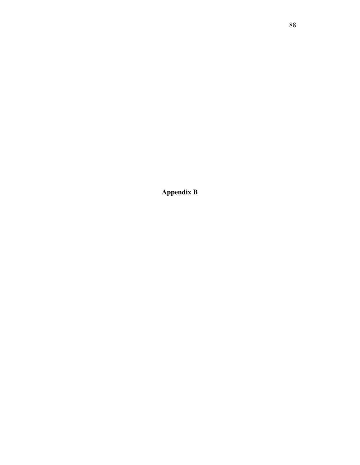**Appendix B**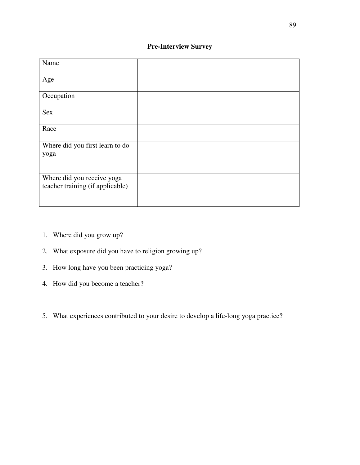# **Pre-Interview Survey**

| Name                                                           |  |
|----------------------------------------------------------------|--|
| Age                                                            |  |
| Occupation                                                     |  |
| Sex                                                            |  |
| Race                                                           |  |
| Where did you first learn to do<br>yoga                        |  |
| Where did you receive yoga<br>teacher training (if applicable) |  |

- 1. Where did you grow up?
- 2. What exposure did you have to religion growing up?
- 3. How long have you been practicing yoga?
- 4. How did you become a teacher?
- 5. What experiences contributed to your desire to develop a life-long yoga practice?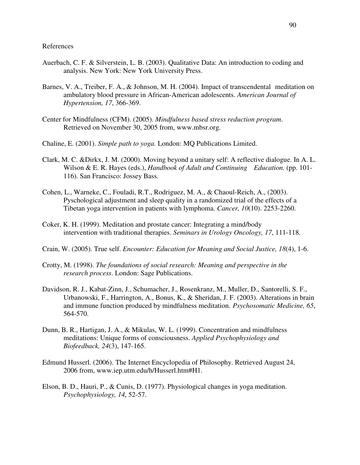- Auerbach, C. F. & Silverstein, L. B. (2003). Qualitative Data: An introduction to coding and analysis. New York: New York University Press.
- Barnes, V. A., Treiber, F. A., & Johnson, M. H. (2004). Impact of transcendental meditation on ambulatory blood pressure in African-American adolescents. *American Journal of Hypertension, 17*, 366-369.
- Center for Mindfulness (CFM). (2005). *Mindfulness based stress reduction program*. Retrieved on November 30, 2005 from, www.mbsr.org.
- Chaline, E. (2001). *Simple path to yoga.* London: MQ Publications Limited.
- Clark, M. C. &Dirkx, J. M. (2000). Moving beyond a unitary self: A reflective dialogue. In A. L. Wilson & E. R. Hayes (eds.), *Handbook of Adult and Continuing Education.* (pp. 101-116). San Francisco: Jossey Bass.
- Cohen, L., Warneke, C., Fouladi, R.T., Rodriguez, M. A., & Chaoul-Reich, A., (2003). Pyschological adjustment and sleep quality in a randomized trial of the effects of a Tibetan yoga intervention in patients with lymphoma. *Cancer, 10*(10). 2253-2260.
- Coker, K. H. (1999). Meditation and prostate cancer: Integrating a mind/body intervention with traditional therapies. *Seminars in Urology Oncology, 17*, 111-118.
- Crain, W. (2005). True self. *Encounter: Education for Meaning and Social Justice, 18*(4), 1-6.
- Crotty, M. (1998). *The foundations of social research: Meaning and perspective in the research process*. London: Sage Publications.
- Davidson, R. J., Kabat-Zinn, J., Schumacher, J., Rosenkranz, M., Muller, D., Santorelli, S. F., Urbanowski, F., Harrington, A., Bonus, K., & Sheridan, J. F. (2003). Alterations in brain and immune function produced by mindfulness meditation. *Psychosomatic Medicine, 65*, 564-570.
- Dunn, B. R., Hartigan, J. A., & Mikulas, W. L. (1999). Concentration and mindfulness meditations: Unique forms of consciousness. *Applied Psychophysiology and Biofeedback, 24*(3), 147-165.
- Edmund Husserl. (2006). The Internet Encyclopedia of Philosophy. Retrieved August 24, 2006 from, www.iep.utm.edu/h/Husserl.htm#H1.
- Elson, B. D., Hauri, P., & Cunis, D. (1977). Physiological changes in yoga meditation.  *Psychophysiology, 14*, 52-57.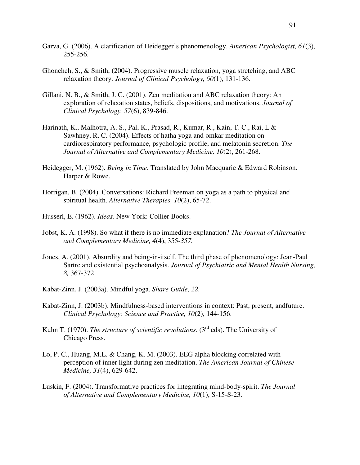- Garva, G. (2006). A clarification of Heidegger's phenomenology. *American Psychologist, 61*(3), 255-256.
- Ghoncheh, S., & Smith, (2004). Progressive muscle relaxation, yoga stretching, and ABC relaxation theory. *Journal of Clinical Psychology, 60*(1), 131-136.
- Gillani, N. B., & Smith, J. C. (2001). Zen meditation and ABC relaxation theory: An exploration of relaxation states, beliefs, dispositions, and motivations. *Journal of Clinical Psychology, 57*(6), 839-846.
- Harinath, K., Malhotra, A. S., Pal, K., Prasad, R., Kumar, R., Kain, T. C., Rai, L & Sawhney, R. C. (2004). Effects of hatha yoga and omkar meditation on cardiorespiratory performance, psychologic profile, and melatonin secretion. *The Journal of Alternative and Complementary Medicine, 10*(2), 261-268.
- Heidegger, M. (1962). *Being in Time*. Translated by John Macquarie & Edward Robinson. Harper & Rowe.
- Horrigan, B. (2004). Conversations: Richard Freeman on yoga as a path to physical and spiritual health. *Alternative Therapies, 10*(2), 65-72.
- Husserl, E. (1962). *Ideas*. New York: Collier Books.
- Jobst, K. A. (1998). So what if there is no immediate explanation? *The Journal of Alternative and Complementary Medicine, 4*(4), 355-*357.*
- Jones, A. (2001). Absurdity and being-in-itself. The third phase of phenomenology: Jean-Paul Sartre and existential psychoanalysis. *Journal of Psychiatric and Mental Health Nursing, 8,* 367-372.
- Kabat-Zinn, J. (2003a). Mindful yoga. *Share Guide, 22.*
- Kabat-Zinn, J. (2003b). Mindfulness-based interventions in context: Past, present, andfuture. *Clinical Psychology: Science and Practice, 10*(2), 144-156.
- Kuhn T. (1970). *The structure of scientific revolutions*. (3<sup>rd</sup> eds). The University of Chicago Press.
- Lo, P. C., Huang, M.L. & Chang, K. M. (2003). EEG alpha blocking correlated with perception of inner light during zen meditation. *The American Journal of Chinese Medicine, 31*(4), 629-642.
- Luskin, F. (2004). Transformative practices for integrating mind-body-spirit. *The Journal of Alternative and Complementary Medicine, 10*(1), S-15-S-23.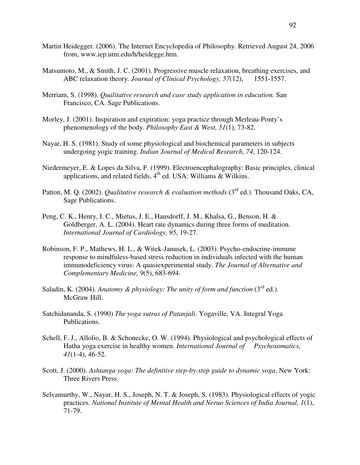- Martin Heidegger. (2006). The Internet Encyclopedia of Philosophy. Retrieved August 24, 2006 from, www.iep.utm.edu/h/heidegge.htm.
- Matsumoto, M., & Smith, J. C. (2001). Progressive muscle relaxation, breathing exercises, and ABC relaxation theory. *Journal of Clinical Psychology, 57*(12), 1551-1557.
- Merriam, S. (1998). *Qualitative research and case study application in education.* San Francisco, CA. Sage Publications.
- Morley, J. (2001). Inspiration and expiration: yoga practice through Merleau-Ponty's phenomenology of the body. *Philosophy East & West, 51*(1), 73-82.
- Nayar, H. S. (1981). Study of some physiological and biochemical parameters in subjects undergoing yogic training. *Indian Journal of Medical Research, 74*, 120-124.
- Niedermeyer, E. & Lopes da Silva, F. (1999). Electroencephalography: Basic principles, clinical applications, and related fields,  $4<sup>th</sup>$  ed. USA: Williams & Wilkins.
- Patton, M. Q. (2002). *Qualitative research & evaluation methods* (3<sup>rd</sup> ed.). Thousand Oaks, CA, Sage Publications.
- Peng, C. K., Henry, I. C., Mietus, J. E., Hausdorff, J. M., Khalsa, G., Benson, H. & Goldberger, A. L. (2004). Heart rate dynamics during three forms of meditation. *International Journal of Cardiology, 95*, 19-27.
- Robinson, F. P., Mathews, H. L., & Witek-Janusek, L. (2003). Psycho-endocrine-immune response to mindfuless-based stress reduction in individuals infected with the human immunodeficiency virus: A quasiexperimental study. *The Journal of Alternative and Complementary Medicine, 9*(5), 683-694.
- Saladin, K. (2004). *Anatomy & physiology: The unity of form and function* (3<sup>rd</sup> ed.). McGraw Hill.
- Satchidananda, S. (1990) *The yoga sutras of Patanjali*. Yogaville, VA. Integral Yoga Publications.
- Schell, F. J., Allolio, B. & Schonecke, O. W. (1994). Physiological and psychological effects of Hatha yoga exercise in healthy women. *International Journal of Psychosomatics, 41*(1-4), 46-52.
- Scott, J. (2000). *Ashtanga yoga: The definitive step-by-step guide to dynamic yoga*. New York: Three Rivers Press.
- Selvamurthy, W., Nayar, H. S., Joseph, N. T. & Joseph, S. (1983). Physiological effects of yogic practices. *National Institute of Mental Health and Neruo Sciences of India Journal, 1*(1), 71-79.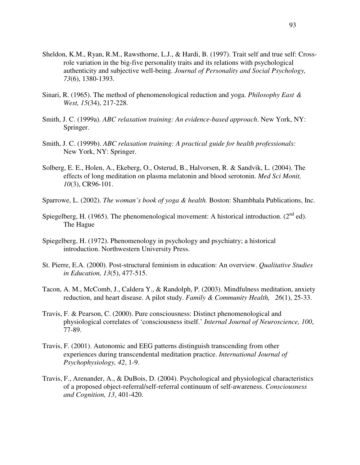- Sheldon, K.M., Ryan, R.M., Rawsthorne, L.J., & Hardi, B. (1997). Trait self and true self: Cross role variation in the big-five personality traits and its relations with psychological authenticity and subjective well-being. *Journal of Personality and Social Psychology, 73*(6), 1380-1393.
- Sinari, R. (1965). The method of phenomenological reduction and yoga. *Philosophy East & West, 15*(34), 217-228.
- Smith, J. C. (1999a). *ABC relaxation training: An evidence-based approach*. New York, NY: Springer.
- Smith, J. C. (1999b). *ABC relaxation training: A practical guide for health professionals:*  New York, NY: Springer.
- Solberg, E. E., Holen, A., Ekeberg, O., Osterud, B., Halvorsen, R. & Sandvik, L. (2004). The effects of long meditation on plasma melatonin and blood serotonin. *Med Sci Monit, 10*(3), CR96-101.
- Sparrowe, L. (2002). *The woman's book of yoga & health.* Boston: Shambhala Publications, Inc.
- Spiegelberg, H. (1965). The phenomenological movement: A historical introduction. ( $2<sup>nd</sup>$  ed). The Hague
- Spiegelberg, H. (1972). Phenomenology in psychology and psychiatry; a historical introduction. Northwestern University Press.
- St. Pierre, E.A. (2000). Post-structural feminism in education: An overview. *Qualitative Studies in Education, 13*(5), 477-515.
- Tacon, A. M., McComb, J., Caldera Y., & Randolph, P. (2003). Mindfulness meditation, anxiety reduction, and heart disease. A pilot study. *Family & Community Health, 26*(1), 25-33.
- Travis, F. & Pearson, C. (2000). Pure consciousness: Distinct phenomenological and physiological correlates of 'consciousness itself.' *Internal Journal of Neuroscience, 100*, 77-89.
- Travis, F. (2001). Autonomic and EEG patterns distinguish transcending from other experiences during transcendental meditation practice. *International Journal of Psychophysiology, 42*, 1-9.
- Travis, F., Arenander, A., & DuBois, D. (2004). Psychological and physiological characteristics of a proposed object-referral/self-referral continuum of self-awareness. *Consciousness and Cognition, 13*, 401-420.